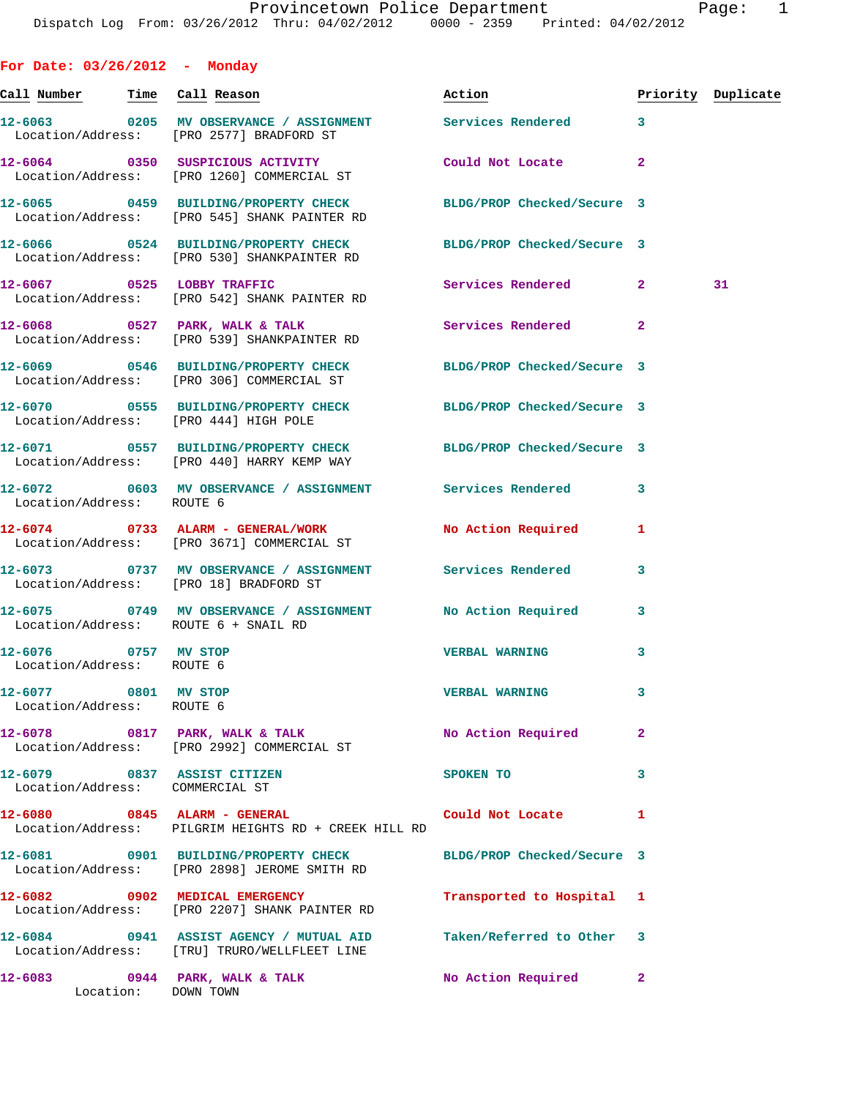| For Date: $03/26/2012$ - Monday                                |                                                                                                                 |                           |                |                    |
|----------------------------------------------------------------|-----------------------------------------------------------------------------------------------------------------|---------------------------|----------------|--------------------|
| <u>Call Number — Time Call Reason</u>                          |                                                                                                                 | Action                    |                | Priority Duplicate |
|                                                                | 12-6063 6205 MV OBSERVANCE / ASSIGNMENT Services Rendered<br>Location/Address: [PRO 2577] BRADFORD ST           |                           | $\mathbf{3}$   |                    |
|                                                                | 12-6064 0350 SUSPICIOUS ACTIVITY<br>Location/Address: [PRO 1260] COMMERCIAL ST                                  | Could Not Locate          | $\overline{a}$ |                    |
|                                                                | 12-6065 0459 BUILDING/PROPERTY CHECK BLDG/PROP Checked/Secure 3<br>Location/Address: [PRO 545] SHANK PAINTER RD |                           |                |                    |
|                                                                | 12-6066 0524 BUILDING/PROPERTY CHECK BLDG/PROP Checked/Secure 3<br>Location/Address: [PRO 530] SHANKPAINTER RD  |                           |                |                    |
|                                                                | 12-6067 0525 LOBBY TRAFFIC<br>Location/Address: [PRO 542] SHANK PAINTER RD                                      | Services Rendered 2       |                | 31                 |
|                                                                | $12-6068$ 0527 PARK, WALK & TALK<br>Location/Address: [PRO 539] SHANKPAINTER RD                                 | Services Rendered         | $\mathbf{2}$   |                    |
|                                                                | 12-6069 0546 BUILDING/PROPERTY CHECK BLDG/PROP Checked/Secure 3<br>Location/Address: [PRO 306] COMMERCIAL ST    |                           |                |                    |
| Location/Address: [PRO 444] HIGH POLE                          | 12-6070 0555 BUILDING/PROPERTY CHECK BLDG/PROP Checked/Secure 3                                                 |                           |                |                    |
|                                                                | 12-6071 0557 BUILDING/PROPERTY CHECK BLDG/PROP Checked/Secure 3<br>Location/Address: [PRO 440] HARRY KEMP WAY   |                           |                |                    |
| Location/Address: ROUTE 6                                      | 12-6072 0603 MV OBSERVANCE / ASSIGNMENT Services Rendered                                                       |                           | 3              |                    |
|                                                                | 12-6074 0733 ALARM - GENERAL/WORK<br>Location/Address: [PRO 3671] COMMERCIAL ST                                 | No Action Required        | 1              |                    |
|                                                                | 12-6073 0737 MV OBSERVANCE / ASSIGNMENT Services Rendered<br>Location/Address: [PRO 18] BRADFORD ST             |                           | 3              |                    |
| Location/Address: ROUTE 6 + SNAIL RD                           | 12-6075 0749 MV OBSERVANCE / ASSIGNMENT                                                                         | <b>No Action Required</b> | 3              |                    |
| 12-6076 0757 MV STOP<br>Location/Address: ROUTE 6              |                                                                                                                 | <b>VERBAL WARNING</b>     | 3              |                    |
| 12-6077 0801 MV STOP<br>Location/Address: ROUTE 6              |                                                                                                                 | <b>VERBAL WARNING</b>     | 3              |                    |
|                                                                | 12-6078 0817 PARK, WALK & TALK<br>Location/Address: [PRO 2992] COMMERCIAL ST                                    | No Action Required        | $\mathbf{2}$   |                    |
| 12-6079 0837 ASSIST CITIZEN<br>Location/Address: COMMERCIAL ST |                                                                                                                 | SPOKEN TO                 | 3              |                    |
| 12-6080 0845 ALARM - GENERAL                                   | Location/Address: PILGRIM HEIGHTS RD + CREEK HILL RD                                                            | Could Not Locate          | 1              |                    |
|                                                                | 12-6081 0901 BUILDING/PROPERTY CHECK BLDG/PROP Checked/Secure 3<br>Location/Address: [PRO 2898] JEROME SMITH RD |                           |                |                    |
|                                                                | 12-6082 0902 MEDICAL EMERGENCY<br>Location/Address: [PRO 2207] SHANK PAINTER RD                                 | Transported to Hospital 1 |                |                    |

**12-6084 0941 ASSIST AGENCY / MUTUAL AID Taken/Referred to Other 3**  Location/Address: [TRU] TRURO/WELLFLEET LINE

**12-6083 0944 PARK, WALK & TALK No Action Required 2**  Location: DOWN TOWN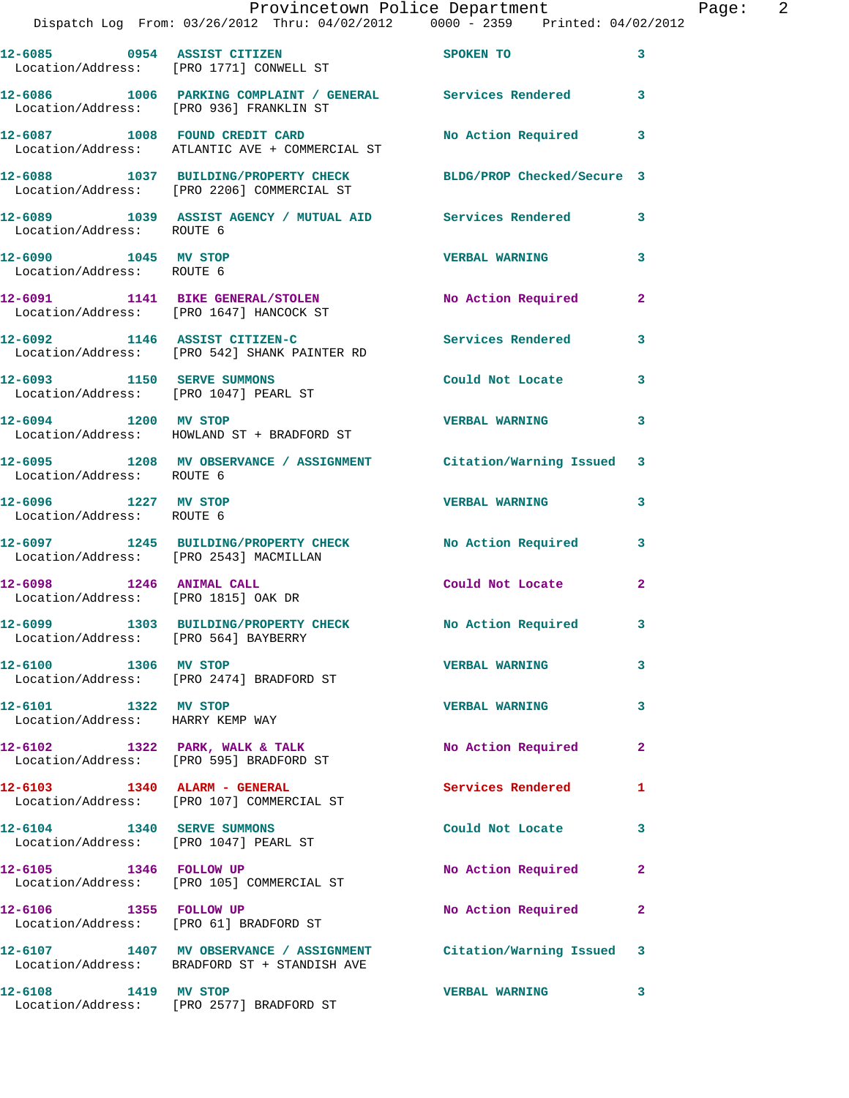|                                                                     | Provincetown Police Department<br>Dispatch Log From: 03/26/2012 Thru: 04/02/2012 0000 - 2359 Printed: 04/02/2012 |                          |              |
|---------------------------------------------------------------------|------------------------------------------------------------------------------------------------------------------|--------------------------|--------------|
|                                                                     | 12-6085 0954 ASSIST CITIZEN<br>Location/Address: [PRO 1771] CONWELL ST                                           | SPOKEN TO                | 3            |
|                                                                     | 12-6086 1006 PARKING COMPLAINT / GENERAL Services Rendered<br>Location/Address: [PRO 936] FRANKLIN ST            |                          | 3            |
|                                                                     | 12-6087 1008 FOUND CREDIT CARD<br>Location/Address: ATLANTIC AVE + COMMERCIAL ST                                 | No Action Required       | 3            |
|                                                                     | 12-6088 1037 BUILDING/PROPERTY CHECK BLDG/PROP Checked/Secure 3<br>Location/Address: [PRO 2206] COMMERCIAL ST    |                          |              |
| Location/Address: ROUTE 6                                           | 12-6089 1039 ASSIST AGENCY / MUTUAL AID Services Rendered                                                        |                          | 3            |
| 12-6090 1045 MV STOP<br>Location/Address: ROUTE 6                   |                                                                                                                  | <b>VERBAL WARNING</b>    | 3            |
|                                                                     | 12-6091 1141 BIKE GENERAL/STOLEN<br>Location/Address: [PRO 1647] HANCOCK ST                                      | No Action Required       | $\mathbf{2}$ |
|                                                                     | 12-6092 1146 ASSIST CITIZEN-C<br>Location/Address: [PRO 542] SHANK PAINTER RD                                    | <b>Services Rendered</b> | 3            |
| 12-6093 1150 SERVE SUMMONS                                          | Location/Address: [PRO 1047] PEARL ST                                                                            | Could Not Locate         | 3            |
|                                                                     | 12-6094 1200 MV STOP<br>Location/Address: HOWLAND ST + BRADFORD ST                                               | <b>VERBAL WARNING</b>    | 3            |
| Location/Address: ROUTE 6                                           | 12-6095 1208 MV OBSERVANCE / ASSIGNMENT Citation/Warning Issued                                                  |                          | 3            |
| 12-6096 1227 MV STOP<br>Location/Address: ROUTE 6                   |                                                                                                                  | <b>VERBAL WARNING</b>    | 3            |
| Location/Address: [PRO 2543] MACMILLAN                              | 12-6097 1245 BUILDING/PROPERTY CHECK No Action Required                                                          |                          | 3            |
| 12-6098 1246 ANIMAL CALL<br>Location/Address: [PRO 1815] OAK DR     |                                                                                                                  | Could Not Locate         | $\mathbf{2}$ |
| Location/Address: [PRO 564] BAYBERRY                                | 12-6099 1303 BUILDING/PROPERTY CHECK No Action Required                                                          |                          |              |
| 12-6100 1306 MV STOP                                                | Location/Address: [PRO 2474] BRADFORD ST                                                                         | <b>VERBAL WARNING</b>    | 3            |
| 12-6101 1322 MV STOP<br>Location/Address: HARRY KEMP WAY            |                                                                                                                  | <b>VERBAL WARNING</b>    | 3            |
|                                                                     | 12-6102 1322 PARK, WALK & TALK<br>Location/Address: [PRO 595] BRADFORD ST                                        | No Action Required       | 2            |
| 12-6103 1340 ALARM - GENERAL                                        | Location/Address: [PRO 107] COMMERCIAL ST                                                                        | Services Rendered        | 1            |
| 12-6104 1340 SERVE SUMMONS<br>Location/Address: [PRO 1047] PEARL ST |                                                                                                                  | Could Not Locate         | 3            |
| 12-6105 1346 FOLLOW UP                                              | Location/Address: [PRO 105] COMMERCIAL ST                                                                        | No Action Required       | 2            |
| 12-6106 1355 FOLLOW UP                                              | Location/Address: [PRO 61] BRADFORD ST                                                                           | No Action Required       | 2            |
|                                                                     | 12-6107 1407 MV OBSERVANCE / ASSIGNMENT Citation/Warning Issued<br>Location/Address: BRADFORD ST + STANDISH AVE  |                          | 3            |
| 12-6108 1419 MV STOP                                                | Location/Address: [PRO 2577] BRADFORD ST                                                                         | <b>VERBAL WARNING</b>    | 3            |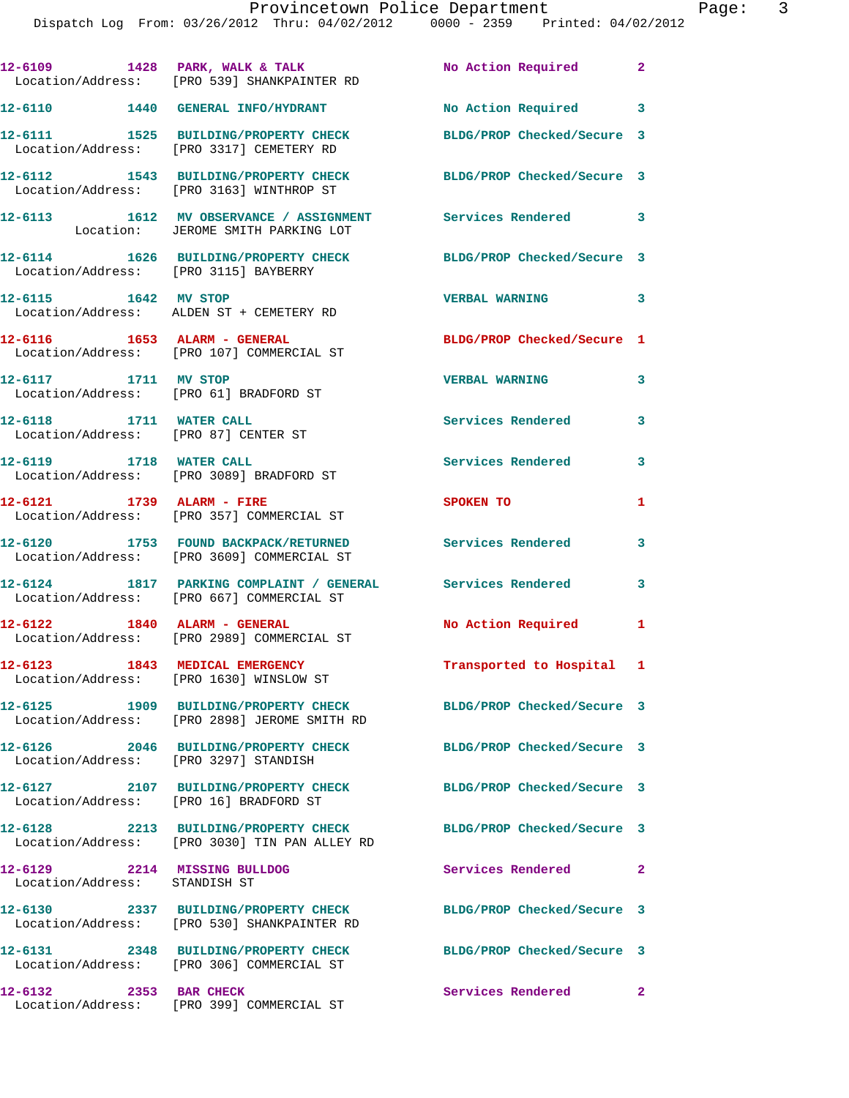|                                                                | 12-6109 1428 PARK, WALK & TALK<br>Location/Address: [PRO 539] SHANKPAINTER RD                           | No Action Required 2       |                            |
|----------------------------------------------------------------|---------------------------------------------------------------------------------------------------------|----------------------------|----------------------------|
|                                                                | 12-6110 1440 GENERAL INFO/HYDRANT                                                                       | No Action Required 3       |                            |
|                                                                | 12-6111 1525 BUILDING/PROPERTY CHECK<br>Location/Address: [PRO 3317] CEMETERY RD                        | BLDG/PROP Checked/Secure 3 |                            |
|                                                                | 12-6112 1543 BUILDING/PROPERTY CHECK<br>Location/Address: [PRO 3163] WINTHROP ST                        | BLDG/PROP Checked/Secure 3 |                            |
|                                                                | 12-6113 1612 MV OBSERVANCE / ASSIGNMENT<br>Location: JEROME SMITH PARKING LOT                           | Services Rendered 3        |                            |
| Location/Address: [PRO 3115] BAYBERRY                          | 12-6114 1626 BUILDING/PROPERTY CHECK                                                                    | BLDG/PROP Checked/Secure 3 |                            |
| 12-6115 1642 MV STOP                                           | Location/Address: ALDEN ST + CEMETERY RD                                                                | <b>VERBAL WARNING</b>      | $\overline{\phantom{a}}$ 3 |
|                                                                | Location/Address: [PRO 107] COMMERCIAL ST                                                               | BLDG/PROP Checked/Secure 1 |                            |
| 12-6117 1711 MV STOP<br>Location/Address: [PRO 61] BRADFORD ST |                                                                                                         | <b>VERBAL WARNING</b>      | 3                          |
| 12-6118 1711 WATER CALL                                        | Location/Address: [PRO 87] CENTER ST                                                                    | <b>Services Rendered</b>   | 3                          |
| 12-6119 1718 WATER CALL                                        | Location/Address: [PRO 3089] BRADFORD ST                                                                | Services Rendered          | 3                          |
| 12-6121 1739 ALARM - FIRE                                      | Location/Address: [PRO 357] COMMERCIAL ST                                                               | SPOKEN TO                  | $\mathbf{1}$               |
|                                                                | 12-6120 1753 FOUND BACKPACK/RETURNED<br>Location/Address: [PRO 3609] COMMERCIAL ST                      | Services Rendered          | 3                          |
|                                                                | 12-6124 1817 PARKING COMPLAINT / GENERAL Services Rendered<br>Location/Address: [PRO 667] COMMERCIAL ST |                            | 3                          |
|                                                                | 12-6122 1840 ALARM - GENERAL<br>Location/Address: [PRO 2989] COMMERCIAL ST                              | No Action Required 1       |                            |
|                                                                | 12-6123 1843 MEDICAL EMERGENCY<br>Location/Address: [PRO 1630] WINSLOW ST                               | Transported to Hospital 1  |                            |
|                                                                | 12-6125 1909 BUILDING/PROPERTY CHECK<br>Location/Address: [PRO 2898] JEROME SMITH RD                    | BLDG/PROP Checked/Secure 3 |                            |
| 12-6126<br>Location/Address: [PRO 3297] STANDISH               | 2046 BUILDING/PROPERTY CHECK                                                                            | BLDG/PROP Checked/Secure 3 |                            |
| Location/Address: [PRO 16] BRADFORD ST                         | 12-6127 2107 BUILDING/PROPERTY CHECK                                                                    | BLDG/PROP Checked/Secure 3 |                            |
| 12-6128                                                        | 2213 BUILDING/PROPERTY CHECK<br>Location/Address: [PRO 3030] TIN PAN ALLEY RD                           | BLDG/PROP Checked/Secure 3 |                            |
| 12-6129 2214 MISSING BULLDOG<br>Location/Address: STANDISH ST  |                                                                                                         | Services Rendered          | $\mathbf{2}$               |
| 12-6130                                                        | 2337 BUILDING/PROPERTY CHECK<br>Location/Address: [PRO 530] SHANKPAINTER RD                             | BLDG/PROP Checked/Secure 3 |                            |
|                                                                | 12-6131 2348 BUILDING/PROPERTY CHECK<br>Location/Address: [PRO 306] COMMERCIAL ST                       | BLDG/PROP Checked/Secure 3 |                            |
| 2353 BAR CHECK<br>12-6132                                      | Location/Address: [PRO 399] COMMERCIAL ST                                                               | Services Rendered          | $\mathbf{2}$               |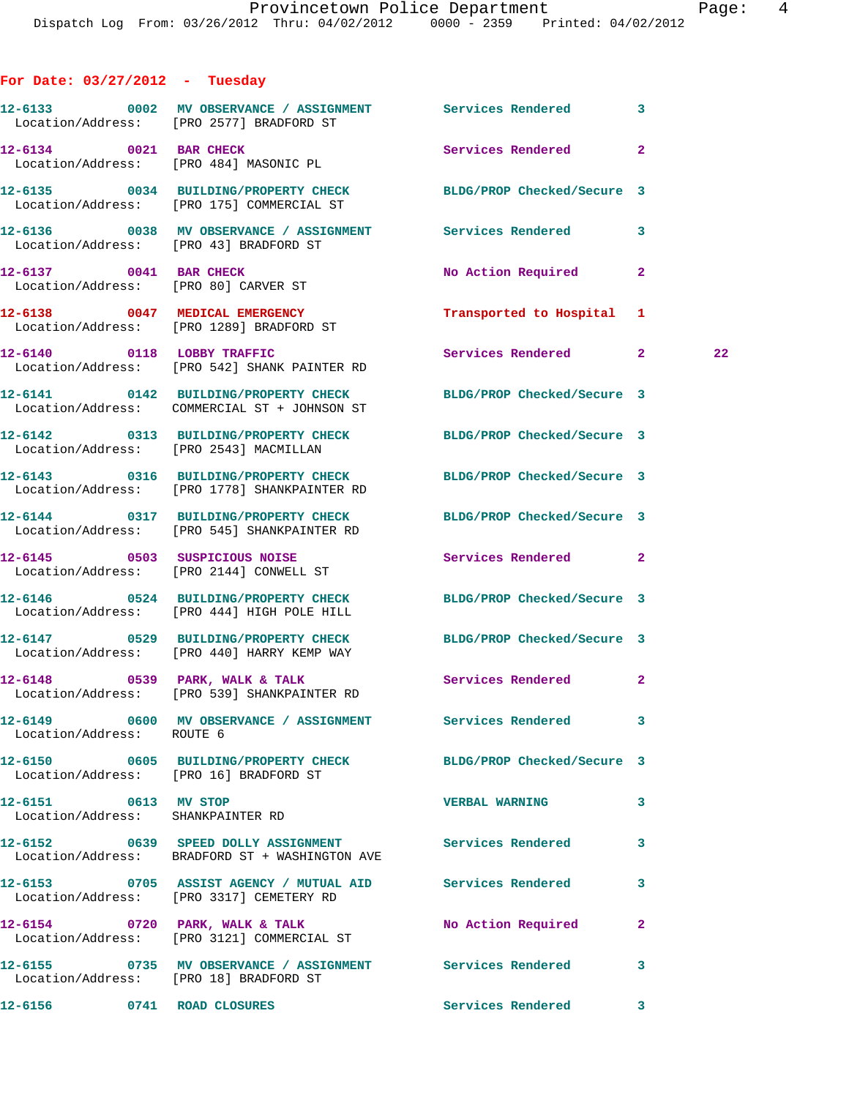## **For Date: 03/27/2012 - Tuesday**

|                                                                | 12-6133 0002 MV OBSERVANCE / ASSIGNMENT Services Rendered 3<br>Location/Address: [PRO 2577] BRADFORD ST         |                            |              |    |
|----------------------------------------------------------------|-----------------------------------------------------------------------------------------------------------------|----------------------------|--------------|----|
| 12-6134 0021 BAR CHECK                                         | Location/Address: [PRO 484] MASONIC PL                                                                          | Services Rendered 2        |              |    |
|                                                                | 12-6135 0034 BUILDING/PROPERTY CHECK BLDG/PROP Checked/Secure 3<br>Location/Address: [PRO 175] COMMERCIAL ST    |                            |              |    |
|                                                                | 12-6136 0038 MV OBSERVANCE / ASSIGNMENT Services Rendered 3<br>Location/Address: [PRO 43] BRADFORD ST           |                            |              |    |
| 12-6137 0041 BAR CHECK<br>Location/Address: [PRO 80] CARVER ST |                                                                                                                 | No Action Required 2       |              |    |
|                                                                | 12-6138 0047 MEDICAL EMERGENCY<br>Location/Address: [PRO 1289] BRADFORD ST                                      | Transported to Hospital 1  |              |    |
|                                                                | 12-6140 0118 LOBBY TRAFFIC<br>Location/Address: [PRO 542] SHANK PAINTER RD                                      | Services Rendered 2        |              | 22 |
|                                                                | 12-6141 0142 BUILDING/PROPERTY CHECK<br>Location/Address: COMMERCIAL ST + JOHNSON ST                            | BLDG/PROP Checked/Secure 3 |              |    |
|                                                                | 12-6142 0313 BUILDING/PROPERTY CHECK BLDG/PROP Checked/Secure 3<br>Location/Address: [PRO 2543] MACMILLAN       |                            |              |    |
|                                                                | 12-6143 0316 BUILDING/PROPERTY CHECK BLDG/PROP Checked/Secure 3<br>Location/Address: [PRO 1778] SHANKPAINTER RD |                            |              |    |
|                                                                | 12-6144 0317 BUILDING/PROPERTY CHECK BLDG/PROP Checked/Secure 3<br>Location/Address: [PRO 545] SHANKPAINTER RD  |                            |              |    |
|                                                                | 12-6145 0503 SUSPICIOUS NOISE<br>Location/Address: [PRO 2144] CONWELL ST                                        | Services Rendered 2        |              |    |
|                                                                | 12-6146 0524 BUILDING/PROPERTY CHECK BLDG/PROP Checked/Secure 3<br>Location/Address: [PRO 444] HIGH POLE HILL   |                            |              |    |
|                                                                | 12-6147 0529 BUILDING/PROPERTY CHECK<br>Location/Address: [PRO 440] HARRY KEMP WAY                              | BLDG/PROP Checked/Secure 3 |              |    |
|                                                                | 12-6148 0539 PARK, WALK & TALK<br>Location/Address: [PRO 539] SHANKPAINTER RD                                   | Services Rendered 2        |              |    |
| Location/Address: ROUTE 6                                      |                                                                                                                 |                            |              |    |
| Location/Address: [PRO 16] BRADFORD ST                         | 12-6150 0605 BUILDING/PROPERTY CHECK BLDG/PROP Checked/Secure 3                                                 |                            |              |    |
| 12-6151 0613 MV STOP                                           | Location/Address: SHANKPAINTER RD                                                                               | <b>VERBAL WARNING</b>      | 3            |    |
|                                                                | 12-6152 6639 SPEED DOLLY ASSIGNMENT Services Rendered<br>Location/Address: BRADFORD ST + WASHINGTON AVE         |                            | 3            |    |
|                                                                | 12-6153 0705 ASSIST AGENCY / MUTUAL AID Services Rendered<br>Location/Address: [PRO 3317] CEMETERY RD           |                            | 3            |    |
|                                                                | 12-6154 0720 PARK, WALK & TALK<br>Location/Address: [PRO 3121] COMMERCIAL ST                                    | No Action Required         | $\mathbf{2}$ |    |
| Location/Address: [PRO 18] BRADFORD ST                         | 12-6155 		 0735 MV OBSERVANCE / ASSIGNMENT Services Rendered                                                    |                            | 3            |    |
| 12-6156 0741 ROAD CLOSURES                                     |                                                                                                                 | Services Rendered          | 3            |    |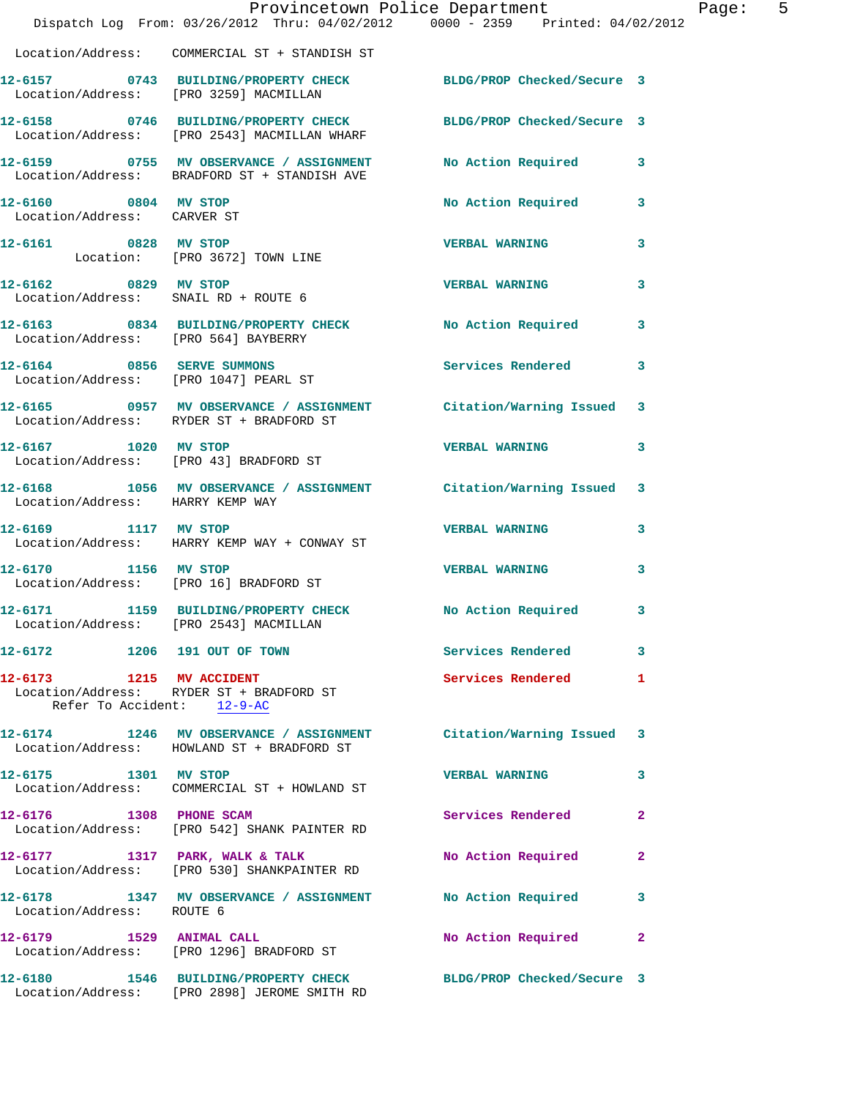|                                                                     |                                                                                         | Provincetown Police Department                                                 | Page: 5 |
|---------------------------------------------------------------------|-----------------------------------------------------------------------------------------|--------------------------------------------------------------------------------|---------|
|                                                                     |                                                                                         | Dispatch Log From: 03/26/2012 Thru: 04/02/2012 0000 - 2359 Printed: 04/02/2012 |         |
|                                                                     | Location/Address: COMMERCIAL ST + STANDISH ST                                           |                                                                                |         |
|                                                                     | Location/Address: [PRO 3259] MACMILLAN                                                  | 12-6157 0743 BUILDING/PROPERTY CHECK BLDG/PROP Checked/Secure 3                |         |
|                                                                     | Location/Address: [PRO 2543] MACMILLAN WHARF                                            | 12-6158 0746 BUILDING/PROPERTY CHECK BLDG/PROP Checked/Secure 3                |         |
|                                                                     | 12-6159 0755 MV OBSERVANCE / ASSIGNMENT<br>Location/Address: BRADFORD ST + STANDISH AVE | No Action Required 3                                                           |         |
| 12-6160 0804 MV STOP<br>Location/Address: CARVER ST                 |                                                                                         | No Action Required<br>$\overline{\mathbf{3}}$                                  |         |
| 12-6161 0828 MV STOP                                                | Location: [PRO 3672] TOWN LINE                                                          | <b>VERBAL WARNING</b><br>$\overline{\mathbf{3}}$                               |         |
| 12-6162 0829 MV STOP<br>Location/Address: SNAIL RD + ROUTE 6        |                                                                                         | <b>VERBAL WARNING</b><br>3                                                     |         |
| Location/Address: [PRO 564] BAYBERRY                                |                                                                                         | 12-6163 0834 BUILDING/PROPERTY CHECK No Action Required<br>3                   |         |
| 12-6164 0856 SERVE SUMMONS<br>Location/Address: [PRO 1047] PEARL ST |                                                                                         | <b>Services Rendered</b><br>3                                                  |         |
|                                                                     | Location/Address: RYDER ST + BRADFORD ST                                                | 12-6165 0957 MV OBSERVANCE / ASSIGNMENT Citation/Warning Issued 3              |         |
| 12-6167 1020 MV STOP                                                | Location/Address: [PRO 43] BRADFORD ST                                                  | <b>VERBAL WARNING</b><br>3                                                     |         |
| Location/Address: HARRY KEMP WAY                                    |                                                                                         | 12-6168 1056 MV OBSERVANCE / ASSIGNMENT Citation/Warning Issued 3              |         |
| 12-6169 1117 MV STOP                                                | Location/Address: HARRY KEMP WAY + CONWAY ST                                            | <b>VERBAL WARNING</b><br>3                                                     |         |
| 12-6170 1156 MV STOP                                                | Location/Address: [PRO 16] BRADFORD ST                                                  | <b>VERBAL WARNING</b><br>3                                                     |         |
| 12-6171                                                             | Location/Address: [PRO 2543] MACMILLAN                                                  | 1159 BUILDING/PROPERTY CHECK No Action Required 3                              |         |
|                                                                     | 12-6172 1206 191 OUT OF TOWN                                                            | Services Rendered 3                                                            |         |
| Refer To Accident: 12-9-AC                                          | 12-6173 1215 MV ACCIDENT<br>Location/Address: RYDER ST + BRADFORD ST                    | Services Rendered<br>1                                                         |         |
|                                                                     | Location/Address: HOWLAND ST + BRADFORD ST                                              | 12-6174 1246 MV OBSERVANCE / ASSIGNMENT Citation/Warning Issued 3              |         |
| 12-6175 1301 MV STOP                                                | Location/Address: COMMERCIAL ST + HOWLAND ST                                            | <b>VERBAL WARNING</b><br>3                                                     |         |
| 12-6176 1308 PHONE SCAM                                             | Location/Address: [PRO 542] SHANK PAINTER RD                                            | Services Rendered<br>$\mathbf{2}$                                              |         |
|                                                                     | 12-6177 1317 PARK, WALK & TALK<br>Location/Address: [PRO 530] SHANKPAINTER RD           | No Action Required<br>$\mathbf{2}$                                             |         |
| Location/Address: ROUTE 6                                           |                                                                                         | 12-6178 1347 MV OBSERVANCE / ASSIGNMENT No Action Required<br>$\mathbf{3}$     |         |
|                                                                     | 12-6179 1529 ANIMAL CALL<br>Location/Address: [PRO 1296] BRADFORD ST                    | No Action Required 2                                                           |         |
|                                                                     | 12-6180 1546 BUILDING/PROPERTY CHECK<br>Location/Address: [PRO 2898] JEROME SMITH RD    | BLDG/PROP Checked/Secure 3                                                     |         |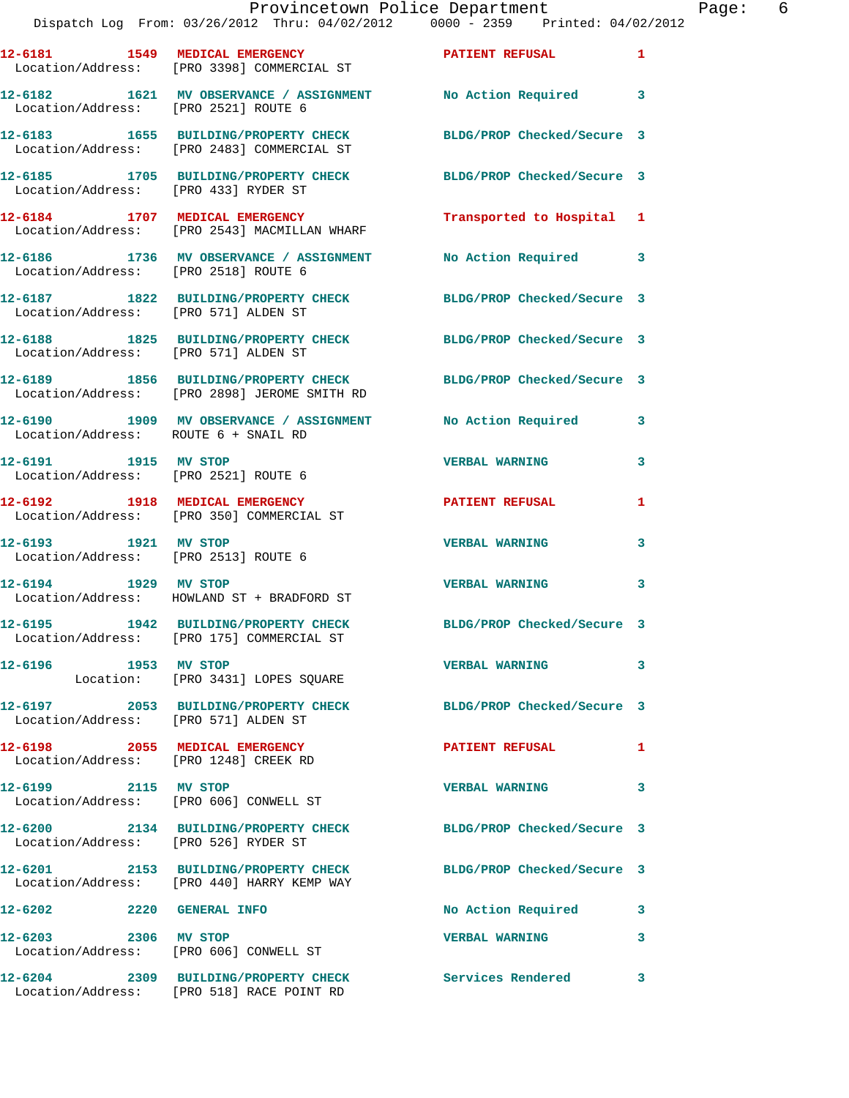|                                                                         | Provincetown Police Department<br>Dispatch Log From: 03/26/2012 Thru: 04/02/2012 0000 - 2359 Printed: 04/02/2012 |                            |   |
|-------------------------------------------------------------------------|------------------------------------------------------------------------------------------------------------------|----------------------------|---|
|                                                                         |                                                                                                                  | PATIENT REFUSAL            | 1 |
| Location/Address: [PRO 2521] ROUTE 6                                    | 12-6182 1621 MV OBSERVANCE / ASSIGNMENT No Action Required                                                       |                            | 3 |
|                                                                         | 12-6183 1655 BUILDING/PROPERTY CHECK<br>Location/Address: [PRO 2483] COMMERCIAL ST                               | BLDG/PROP Checked/Secure 3 |   |
| Location/Address: [PRO 433] RYDER ST                                    | 12-6185 1705 BUILDING/PROPERTY CHECK BLDG/PROP Checked/Secure 3                                                  |                            |   |
|                                                                         | 12-6184 1707 MEDICAL EMERGENCY<br>Location/Address: [PRO 2543] MACMILLAN WHARF                                   | Transported to Hospital 1  |   |
| Location/Address: [PRO 2518] ROUTE 6                                    | 12-6186 1736 MV OBSERVANCE / ASSIGNMENT                                                                          | No Action Required         | 3 |
| Location/Address: [PRO 571] ALDEN ST                                    | 12-6187 1822 BUILDING/PROPERTY CHECK BLDG/PROP Checked/Secure 3                                                  |                            |   |
| Location/Address: [PRO 571] ALDEN ST                                    | 12-6188 1825 BUILDING/PROPERTY CHECK                                                                             | BLDG/PROP Checked/Secure 3 |   |
|                                                                         | 12-6189 1856 BUILDING/PROPERTY CHECK BLDG/PROP Checked/Secure 3<br>Location/Address: [PRO 2898] JEROME SMITH RD  |                            |   |
| Location/Address: ROUTE 6 + SNAIL RD                                    | 12-6190 1909 MV OBSERVANCE / ASSIGNMENT No Action Required                                                       |                            | 3 |
| 12-6191 1915 MV STOP<br>Location/Address: [PRO 2521] ROUTE 6            |                                                                                                                  | <b>VERBAL WARNING</b>      | 3 |
|                                                                         | 12-6192 1918 MEDICAL EMERGENCY<br>Location/Address: [PRO 350] COMMERCIAL ST                                      | <b>PATIENT REFUSAL</b>     | 1 |
| 12-6193 1921 MV STOP                                                    | Location/Address: [PRO 2513] ROUTE 6                                                                             | <b>VERBAL WARNING</b>      | 3 |
| 12-6194 1929 MV STOP                                                    | Location/Address: HOWLAND ST + BRADFORD ST                                                                       | <b>VERBAL WARNING</b>      | 3 |
|                                                                         | 12-6195 1942 BUILDING/PROPERTY CHECK<br>Location/Address: [PRO 175] COMMERCIAL ST                                | BLDG/PROP Checked/Secure 3 |   |
| 12-6196 1953 MV STOP                                                    | Location: [PRO 3431] LOPES SQUARE                                                                                | <b>VERBAL WARNING</b>      | 3 |
| Location/Address: [PRO 571] ALDEN ST                                    | 12-6197 2053 BUILDING/PROPERTY CHECK                                                                             | BLDG/PROP Checked/Secure 3 |   |
| 12-6198 2055 MEDICAL EMERGENCY<br>Location/Address: [PRO 1248] CREEK RD |                                                                                                                  | <b>PATIENT REFUSAL</b>     | 1 |
| 12-6199 2115 MV STOP                                                    | Location/Address: [PRO 606] CONWELL ST                                                                           | <b>VERBAL WARNING</b>      | 3 |
| Location/Address: [PRO 526] RYDER ST                                    | 12-6200 2134 BUILDING/PROPERTY CHECK                                                                             | BLDG/PROP Checked/Secure 3 |   |
|                                                                         | 12-6201 2153 BUILDING/PROPERTY CHECK<br>Location/Address: [PRO 440] HARRY KEMP WAY                               | BLDG/PROP Checked/Secure 3 |   |
| 12-6202 2220 GENERAL INFO                                               |                                                                                                                  | No Action Required         | 3 |
| 12-6203 2306 MV STOP                                                    | Location/Address: [PRO 606] CONWELL ST                                                                           | <b>VERBAL WARNING</b>      | 3 |
|                                                                         | 12-6204 2309 BUILDING/PROPERTY CHECK Services Rendered<br>Location/Address: [PRO 518] RACE POINT RD              |                            | 3 |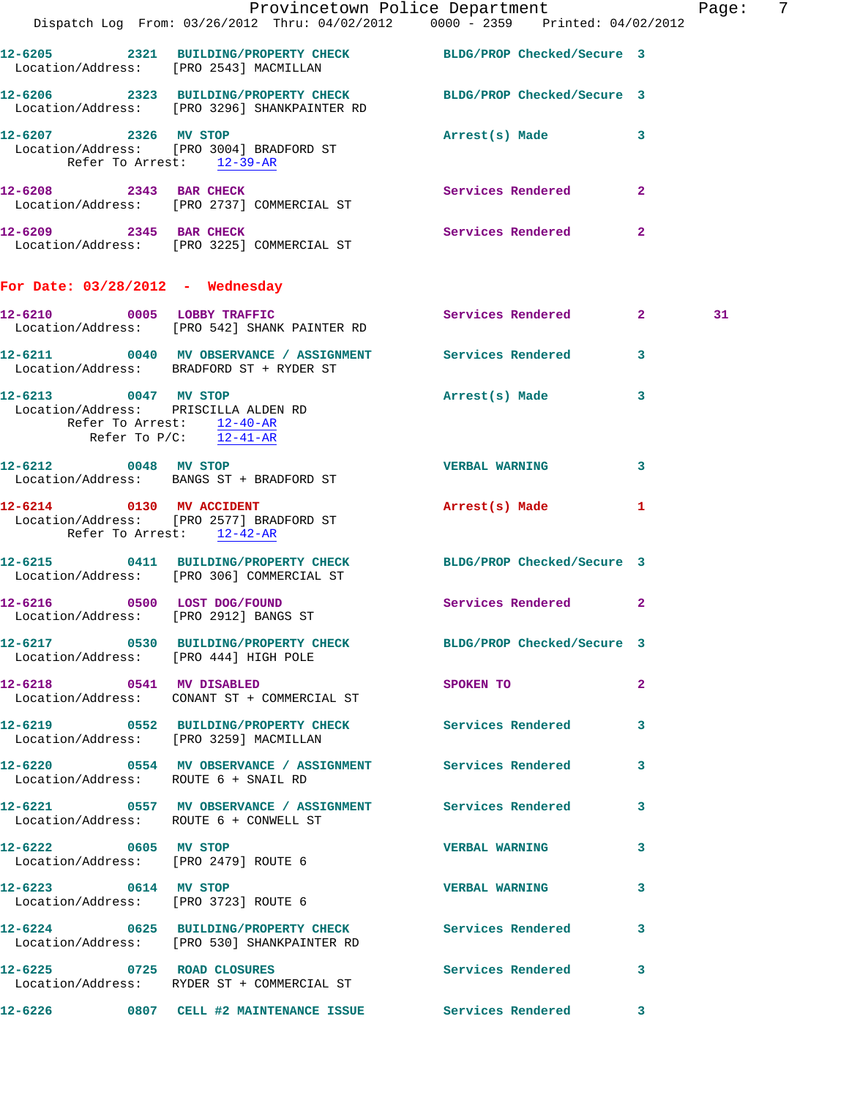|                                                   |                                                                                                                 | Provincetown Police Department Fage: |                         |    | - 7 |
|---------------------------------------------------|-----------------------------------------------------------------------------------------------------------------|--------------------------------------|-------------------------|----|-----|
|                                                   | Dispatch Log From: 03/26/2012 Thru: 04/02/2012 0000 - 2359 Printed: 04/02/2012                                  |                                      |                         |    |     |
|                                                   | 12-6205 2321 BUILDING/PROPERTY CHECK BLDG/PROP Checked/Secure 3<br>Location/Address: [PRO 2543] MACMILLAN       |                                      |                         |    |     |
|                                                   | 12-6206 2323 BUILDING/PROPERTY CHECK BLDG/PROP Checked/Secure 3<br>Location/Address: [PRO 3296] SHANKPAINTER RD |                                      |                         |    |     |
|                                                   | 12-6207 2326 MV STOP<br>Location/Address: [PRO 3004] BRADFORD ST<br>Refer To Arrest: 12-39-AR                   | Arrest(s) Made 3                     |                         |    |     |
|                                                   | 12-6208 2343 BAR CHECK<br>Location/Address: [PRO 2737] COMMERCIAL ST                                            | Services Rendered 2                  |                         |    |     |
|                                                   | 12-6209 2345 BAR CHECK<br>Location/Address: [PRO 3225] COMMERCIAL ST                                            | Services Rendered 2                  |                         |    |     |
| For Date: $03/28/2012$ - Wednesday                |                                                                                                                 |                                      |                         |    |     |
|                                                   | 12-6210 0005 LOBBY TRAFFIC<br>Location/Address: [PRO 542] SHANK PAINTER RD                                      | Services Rendered 2                  |                         | 31 |     |
|                                                   | 12-6211 0040 MV OBSERVANCE / ASSIGNMENT Services Rendered<br>Location/Address: BRADFORD ST + RYDER ST           |                                      | $\mathbf{3}$            |    |     |
| 12-6213 0047 MV STOP<br>Refer To Arrest: 12-40-AR | Location/Address: PRISCILLA ALDEN RD<br>Refer To $P/C$ : 12-41-AR                                               | Arrest(s) Made 3                     |                         |    |     |
|                                                   | 12-6212 0048 MV STOP<br>Location/Address: BANGS ST + BRADFORD ST                                                | <b>VERBAL WARNING</b>                | $\overline{\mathbf{3}}$ |    |     |
| 12-6214 0130 MV ACCIDENT                          | Location/Address: [PRO 2577] BRADFORD ST<br>Refer To Arrest: 12-42-AR                                           | Arrest(s) Made                       | $\mathbf{1}$            |    |     |
|                                                   | 12-6215 0411 BUILDING/PROPERTY CHECK BLDG/PROP Checked/Secure 3<br>Location/Address: [PRO 306] COMMERCIAL ST    |                                      |                         |    |     |
|                                                   | 12-6216 0500 LOST DOG/FOUND<br>Location/Address: [PRO 2912] BANGS ST                                            | <b>Services Rendered</b> 2           |                         |    |     |
|                                                   | 12-6217 0530 BUILDING/PROPERTY CHECK BLDG/PROP Checked/Secure 3<br>Location/Address: [PRO 444] HIGH POLE        |                                      |                         |    |     |
|                                                   | 12-6218 0541 MV DISABLED<br>Location/Address: CONANT ST + COMMERCIAL ST                                         | SPOKEN TO                            | $\mathbf{2}$            |    |     |
|                                                   | 12-6219 0552 BUILDING/PROPERTY CHECK Services Rendered<br>Location/Address: [PRO 3259] MACMILLAN                |                                      | 3                       |    |     |
|                                                   | 12-6220 0554 MV OBSERVANCE / ASSIGNMENT Services Rendered<br>Location/Address: ROUTE 6 + SNAIL RD               |                                      | 3                       |    |     |
|                                                   | 12-6221 0557 MV OBSERVANCE / ASSIGNMENT Services Rendered 3<br>Location/Address: ROUTE 6 + CONWELL ST           |                                      |                         |    |     |
| Location/Address: [PRO 2479] ROUTE 6              | 12-6222 0605 MV STOP                                                                                            | <b>VERBAL WARNING</b>                | $\mathbf{3}$            |    |     |
| 12-6223 0614 MV STOP                              | Location/Address: [PRO 3723] ROUTE 6                                                                            | VERBAL WARNING 3                     |                         |    |     |
|                                                   | 12-6224 0625 BUILDING/PROPERTY CHECK Services Rendered<br>Location/Address: [PRO 530] SHANKPAINTER RD           |                                      | 3                       |    |     |
| 12-6225 0725 ROAD CLOSURES                        | Location/Address: RYDER ST + COMMERCIAL ST                                                                      | Services Rendered 3                  |                         |    |     |
|                                                   | 12-6226 0807 CELL #2 MAINTENANCE ISSUE Services Rendered 3                                                      |                                      |                         |    |     |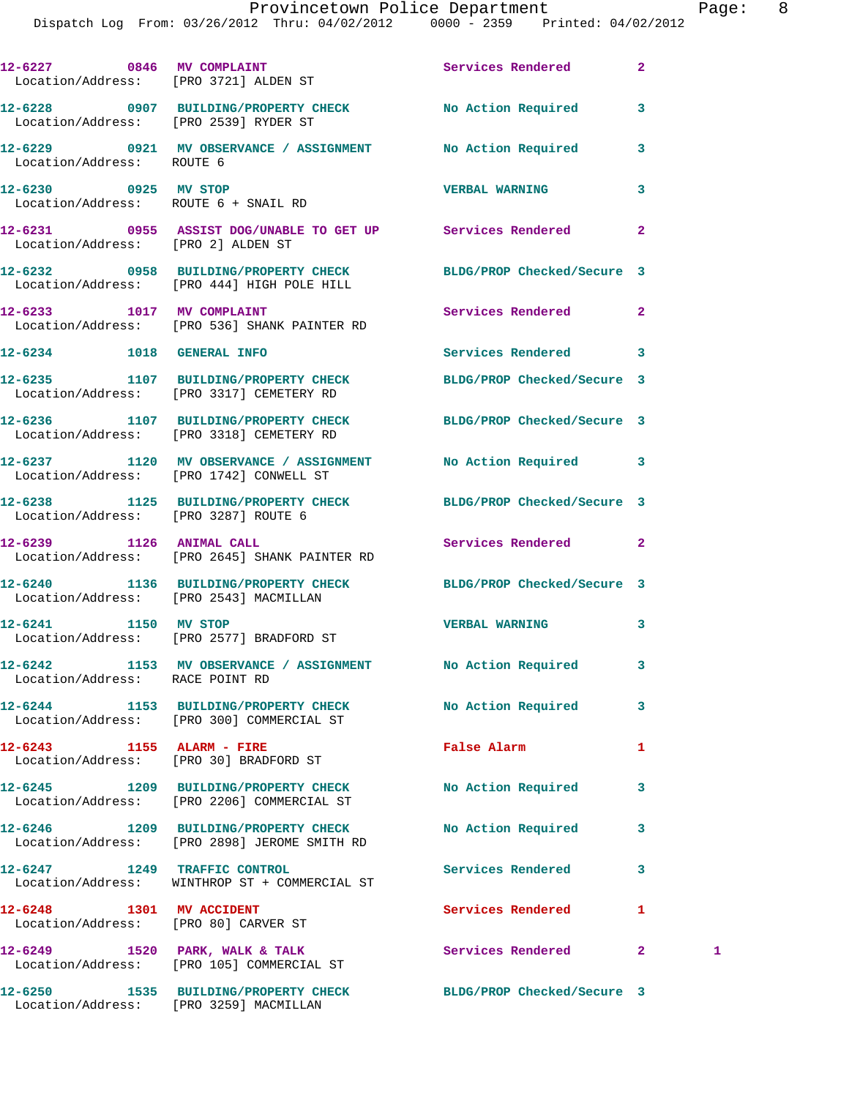|                                                                  | 12-6227 0846 MV COMPLAINT Services Rendered<br>Location/Address: [PRO 3721] ALDEN ST                          |                          | $\overline{a}$ |   |
|------------------------------------------------------------------|---------------------------------------------------------------------------------------------------------------|--------------------------|----------------|---|
| Location/Address: [PRO 2539] RYDER ST                            | 12-6228 0907 BUILDING/PROPERTY CHECK No Action Required                                                       |                          | 3              |   |
| Location/Address: ROUTE 6                                        | 12-6229 0921 MV OBSERVANCE / ASSIGNMENT No Action Required                                                    |                          | 3              |   |
| 12-6230 0925 MV STOP                                             | Location/Address: ROUTE 6 + SNAIL RD                                                                          | <b>VERBAL WARNING</b>    | 3              |   |
| Location/Address: [PRO 2] ALDEN ST                               | 12-6231 0955 ASSIST DOG/UNABLE TO GET UP Services Rendered                                                    |                          | $\mathbf{2}$   |   |
|                                                                  | 12-6232 0958 BUILDING/PROPERTY CHECK BLDG/PROP Checked/Secure 3<br>Location/Address: [PRO 444] HIGH POLE HILL |                          |                |   |
| 12-6233 1017 MV COMPLAINT                                        | Location/Address: [PRO 536] SHANK PAINTER RD                                                                  | Services Rendered        | $\mathbf{2}$   |   |
| 12-6234 1018 GENERAL INFO                                        |                                                                                                               | <b>Services Rendered</b> | 3              |   |
|                                                                  | 12-6235 1107 BUILDING/PROPERTY CHECK BLDG/PROP Checked/Secure 3<br>Location/Address: [PRO 3317] CEMETERY RD   |                          |                |   |
|                                                                  | 12-6236 1107 BUILDING/PROPERTY CHECK BLDG/PROP Checked/Secure 3<br>Location/Address: [PRO 3318] CEMETERY RD   |                          |                |   |
|                                                                  | 12-6237 1120 MV OBSERVANCE / ASSIGNMENT No Action Required 3<br>Location/Address: [PRO 1742] CONWELL ST       |                          |                |   |
| Location/Address: [PRO 3287] ROUTE 6                             | 12-6238 1125 BUILDING/PROPERTY CHECK BLDG/PROP Checked/Secure 3                                               |                          |                |   |
| 12-6239 1126 ANIMAL CALL                                         | Location/Address: [PRO 2645] SHANK PAINTER RD                                                                 | Services Rendered        | $\mathbf{2}$   |   |
|                                                                  | 12-6240 1136 BUILDING/PROPERTY CHECK BLDG/PROP Checked/Secure 3<br>Location/Address: [PRO 2543] MACMILLAN     |                          |                |   |
| 12-6241 1150 MV STOP                                             | Location/Address: [PRO 2577] BRADFORD ST                                                                      | <b>VERBAL WARNING</b>    | 3              |   |
| Location/Address: RACE POINT RD                                  | 12-6242 1153 MV OBSERVANCE / ASSIGNMENT                                                                       | No Action Required       | 3              |   |
|                                                                  | 12-6244 1153 BUILDING/PROPERTY CHECK No Action Required<br>Location/Address: [PRO 300] COMMERCIAL ST          |                          | 3              |   |
| 12-6243 1155 ALARM - FIRE                                        | Location/Address: [PRO 30] BRADFORD ST                                                                        | False Alarm              | 1              |   |
|                                                                  | 12-6245 1209 BUILDING/PROPERTY CHECK No Action Required<br>Location/Address: [PRO 2206] COMMERCIAL ST         |                          | 3              |   |
|                                                                  | 12-6246 1209 BUILDING/PROPERTY CHECK<br>Location/Address: [PRO 2898] JEROME SMITH RD                          | No Action Required       | 3              |   |
| 12-6247 1249 TRAFFIC CONTROL                                     | Location/Address: WINTHROP ST + COMMERCIAL ST                                                                 | Services Rendered        | 3              |   |
| 12-6248 1301 MV ACCIDENT<br>Location/Address: [PRO 80] CARVER ST |                                                                                                               | Services Rendered        | 1              |   |
|                                                                  | 12-6249 1520 PARK, WALK & TALK<br>Location/Address: [PRO 105] COMMERCIAL ST                                   | Services Rendered        | $\mathbf{2}$   | 1 |
| 12-6250                                                          | 1535 BUILDING/PROPERTY CHECK BLDG/PROP Checked/Secure 3                                                       |                          |                |   |

Location/Address: [PRO 3259] MACMILLAN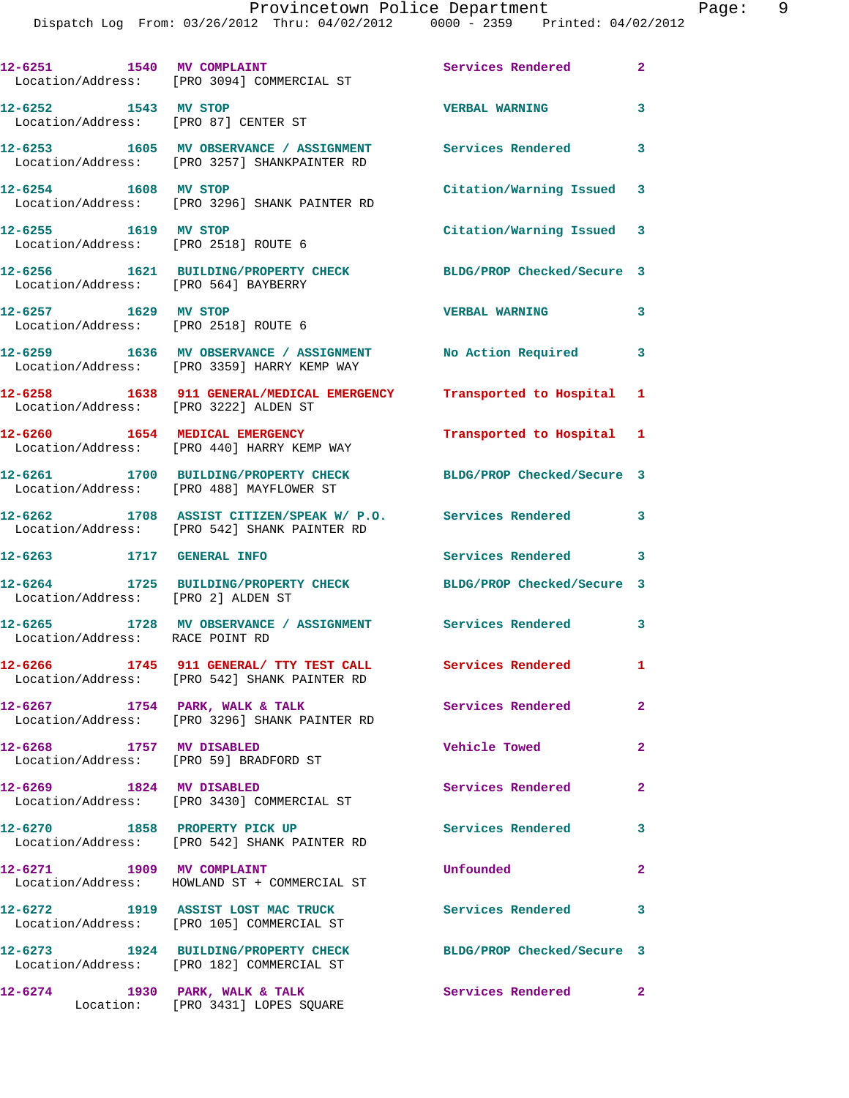| 12-6251 1540 MV COMPLAINT                     | Location/Address: [PRO 3094] COMMERCIAL ST                                                                  | Services Rendered          | $\mathbf{2}$   |
|-----------------------------------------------|-------------------------------------------------------------------------------------------------------------|----------------------------|----------------|
| 12-6252 1543 MV STOP                          | Location/Address: [PRO 87] CENTER ST                                                                        | <b>VERBAL WARNING</b>      | 3              |
|                                               | 12-6253 1605 MV OBSERVANCE / ASSIGNMENT Services Rendered 3<br>Location/Address: [PRO 3257] SHANKPAINTER RD |                            |                |
| 12-6254 1608 MV STOP                          | Location/Address: [PRO 3296] SHANK PAINTER RD                                                               | Citation/Warning Issued 3  |                |
| 12-6255 1619 MV STOP                          | Location/Address: [PRO 2518] ROUTE 6                                                                        | Citation/Warning Issued 3  |                |
| Location/Address: [PRO 564] BAYBERRY          | 12-6256 1621 BUILDING/PROPERTY CHECK                                                                        | BLDG/PROP Checked/Secure 3 |                |
| 12-6257 1629 MV STOP                          | Location/Address: [PRO 2518] ROUTE 6                                                                        | <b>VERBAL WARNING</b>      | 3              |
|                                               | 12-6259 1636 MV OBSERVANCE / ASSIGNMENT No Action Required 3<br>Location/Address: [PRO 3359] HARRY KEMP WAY |                            |                |
| Location/Address: [PRO 3222] ALDEN ST         | 12-6258 1638 911 GENERAL/MEDICAL EMERGENCY Transported to Hospital 1                                        |                            |                |
|                                               | 12-6260 1654 MEDICAL EMERGENCY<br>Location/Address: [PRO 440] HARRY KEMP WAY                                | Transported to Hospital 1  |                |
|                                               | 12-6261 1700 BUILDING/PROPERTY CHECK<br>Location/Address: [PRO 488] MAYFLOWER ST                            | BLDG/PROP Checked/Secure 3 |                |
|                                               | 12-6262 1708 ASSIST CITIZEN/SPEAK W/ P.O. Services Rendered<br>Location/Address: [PRO 542] SHANK PAINTER RD |                            | 3              |
| 12-6263 1717 GENERAL INFO                     |                                                                                                             | Services Rendered 3        |                |
| 12-6264<br>Location/Address: [PRO 2] ALDEN ST | 1725 BUILDING/PROPERTY CHECK BLDG/PROP Checked/Secure 3                                                     |                            |                |
| Location/Address: RACE POINT RD               | 12-6265 1728 MV OBSERVANCE / ASSIGNMENT Services Rendered 3                                                 |                            |                |
|                                               | 12-6266 1745 911 GENERAL/ TTY TEST CALL<br>Location/Address: [PRO 542] SHANK PAINTER RD                     | Services Rendered          | $\mathbf{1}$   |
| $12-6267$ 1754 PARK, WALK & TALK              | Location/Address: [PRO 3296] SHANK PAINTER RD                                                               | Services Rendered 2        |                |
|                                               | 12-6268 1757 MV DISABLED<br>Location/Address: [PRO 59] BRADFORD ST                                          | Vehicle Towed              | $\mathbf{2}$   |
| 12-6269 1824 MV DISABLED                      | Location/Address: [PRO 3430] COMMERCIAL ST                                                                  | Services Rendered          | $\overline{2}$ |
| 12-6270 1858 PROPERTY PICK UP                 | Location/Address: [PRO 542] SHANK PAINTER RD                                                                | <b>Services Rendered</b>   | 3              |
| 12-6271 1909 MV COMPLAINT                     | Location/Address: HOWLAND ST + COMMERCIAL ST                                                                | Unfounded                  | $\mathbf{2}$   |
|                                               | 12-6272 1919 ASSIST LOST MAC TRUCK<br>Location/Address: [PRO 105] COMMERCIAL ST                             | <b>Services Rendered</b>   | 3              |
|                                               | 12-6273 1924 BUILDING/PROPERTY CHECK<br>Location/Address: [PRO 182] COMMERCIAL ST                           | BLDG/PROP Checked/Secure 3 |                |
| 12-6274                                       | 1930 PARK, WALK & TALK<br>Location: [PRO 3431] LOPES SQUARE                                                 | Services Rendered 2        |                |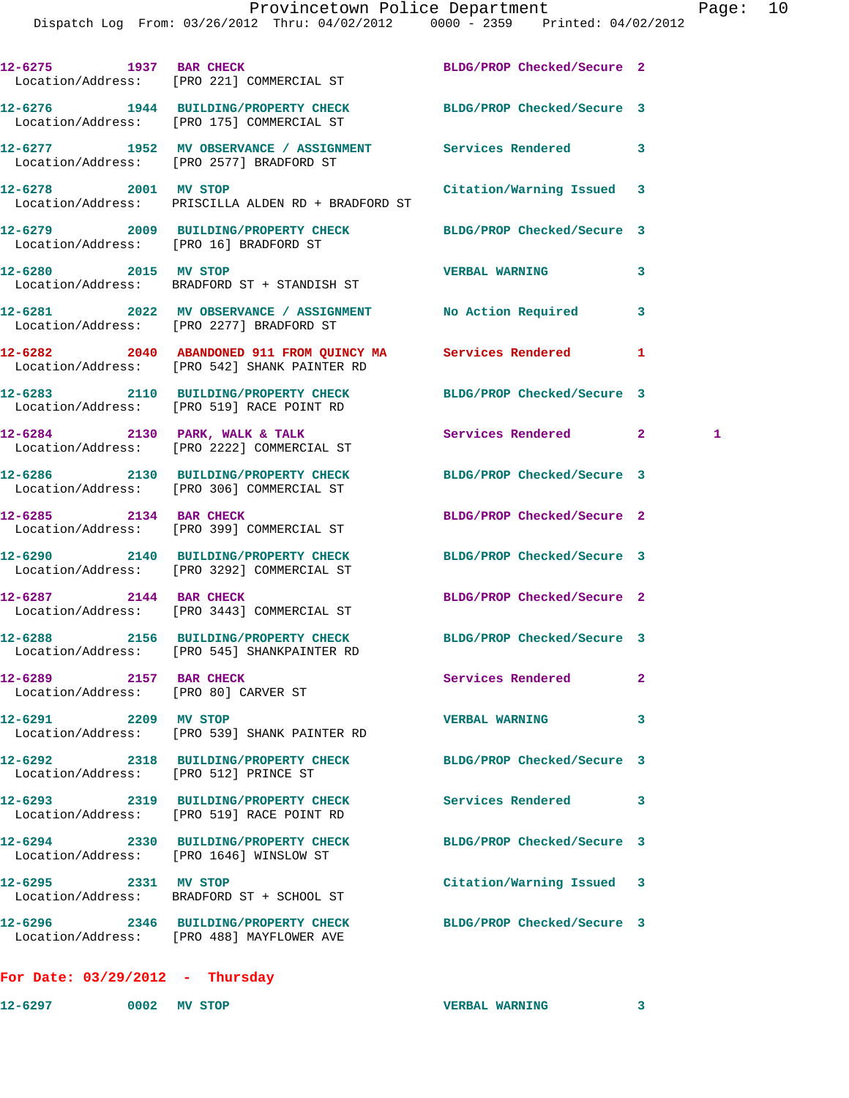|                                        | 12-6275 1937 BAR CHECK<br>Location/Address: [PRO 221] COMMERCIAL ST                                            | BLDG/PROP Checked/Secure 2 |                   |
|----------------------------------------|----------------------------------------------------------------------------------------------------------------|----------------------------|-------------------|
|                                        | 12-6276 1944 BUILDING/PROPERTY CHECK<br>Location/Address: [PRO 175] COMMERCIAL ST                              | BLDG/PROP Checked/Secure 3 |                   |
|                                        | 12-6277 1952 MV OBSERVANCE / ASSIGNMENT Services Rendered<br>Location/Address: [PRO 2577] BRADFORD ST          |                            | 3                 |
| 12-6278 2001 MV STOP                   | Location/Address: PRISCILLA ALDEN RD + BRADFORD ST                                                             | Citation/Warning Issued 3  |                   |
| Location/Address: [PRO 16] BRADFORD ST | 12-6279 2009 BUILDING/PROPERTY CHECK BLDG/PROP Checked/Secure 3                                                |                            |                   |
| 12-6280 2015 MV STOP                   | Location/Address: BRADFORD ST + STANDISH ST                                                                    | <b>VERBAL WARNING</b>      | 3                 |
|                                        | 12-6281 2022 MV OBSERVANCE / ASSIGNMENT No Action Required<br>Location/Address: [PRO 2277] BRADFORD ST         |                            | 3                 |
|                                        | 12-6282 2040 ABANDONED 911 FROM QUINCY MA Services Rendered<br>Location/Address: [PRO 542] SHANK PAINTER RD    |                            | 1                 |
|                                        | 12-6283 2110 BUILDING/PROPERTY CHECK<br>Location/Address: [PRO 519] RACE POINT RD                              | BLDG/PROP Checked/Secure 3 |                   |
|                                        | 12-6284 2130 PARK, WALK & TALK<br>Location/Address: [PRO 2222] COMMERCIAL ST                                   | Services Rendered          | $\mathbf{2}$<br>1 |
|                                        | 12-6286 2130 BUILDING/PROPERTY CHECK<br>Location/Address: [PRO 306] COMMERCIAL ST                              | BLDG/PROP Checked/Secure 3 |                   |
| 12-6285 2134 BAR CHECK                 | Location/Address: [PRO 399] COMMERCIAL ST                                                                      | BLDG/PROP Checked/Secure 2 |                   |
|                                        | 12-6290 2140 BUILDING/PROPERTY CHECK<br>Location/Address: [PRO 3292] COMMERCIAL ST                             | BLDG/PROP Checked/Secure 3 |                   |
|                                        | 12-6287 2144 BAR CHECK<br>Location/Address: [PRO 3443] COMMERCIAL ST                                           | BLDG/PROP Checked/Secure 2 |                   |
|                                        | 12-6288 2156 BUILDING/PROPERTY CHECK BLDG/PROP Checked/Secure 3<br>Location/Address: [PRO 545] SHANKPAINTER RD |                            |                   |
| 12-6289 2157 BAR CHECK                 | Location/Address: [PRO 80] CARVER ST                                                                           | Services Rendered          | 2                 |
| 12-6291 2209 MV STOP                   | Location/Address: [PRO 539] SHANK PAINTER RD                                                                   | <b>VERBAL WARNING</b>      | 3                 |
| Location/Address: [PRO 512] PRINCE ST  | 12-6292 2318 BUILDING/PROPERTY CHECK BLDG/PROP Checked/Secure 3                                                |                            |                   |
|                                        | 12-6293 2319 BUILDING/PROPERTY CHECK<br>Location/Address: [PRO 519] RACE POINT RD                              | Services Rendered          | 3                 |
|                                        | 12-6294 2330 BUILDING/PROPERTY CHECK<br>Location/Address: [PRO 1646] WINSLOW ST                                | BLDG/PROP Checked/Secure 3 |                   |
| 12-6295 2331 MV STOP                   | Location/Address: BRADFORD ST + SCHOOL ST                                                                      | Citation/Warning Issued 3  |                   |
|                                        | 12-6296 2346 BUILDING/PROPERTY CHECK BLDG/PROP Checked/Secure 3<br>Location/Address: [PRO 488] MAYFLOWER AVE   |                            |                   |
| For Date: $03/29/2012$ - Thursday      |                                                                                                                |                            |                   |

**12-6297 0002 MV STOP VERBAL WARNING 3**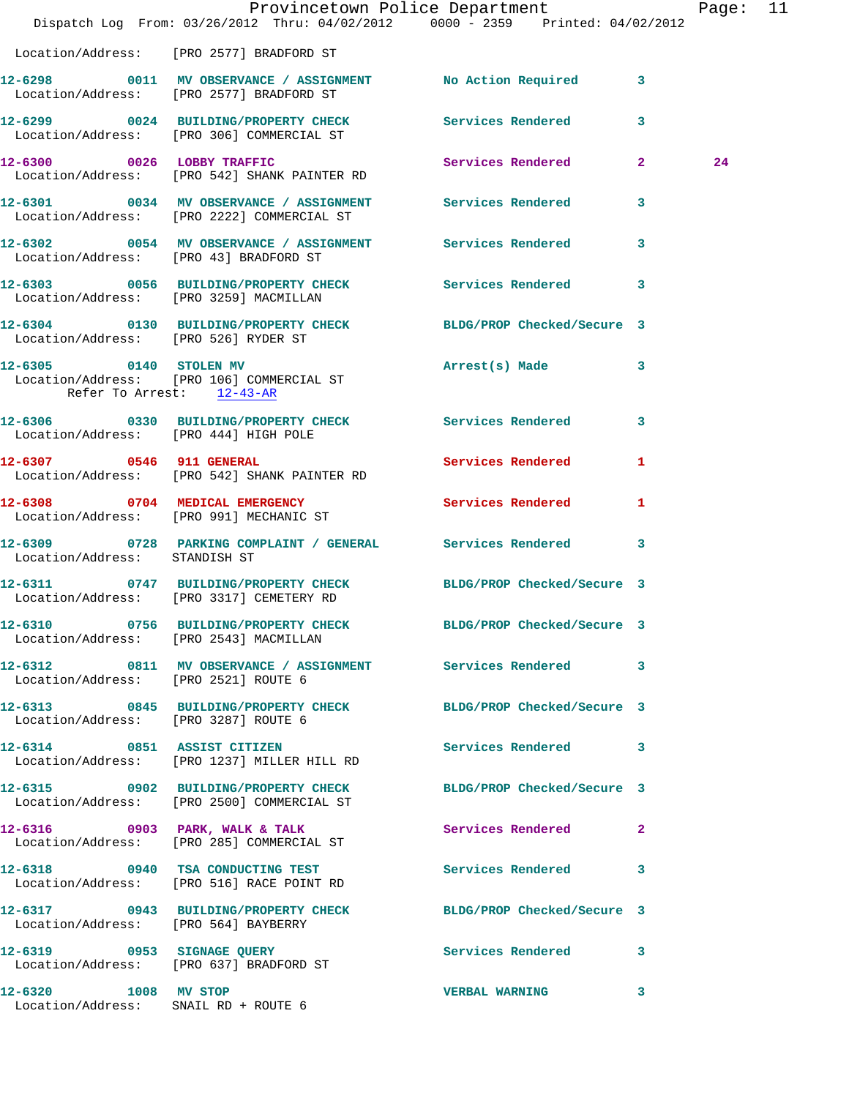|                                                              | Dispatch Log From: 03/26/2012 Thru: 04/02/2012 0000 - 2359 Printed: 04/02/2012                                | Provincetown Police Department Page: 11 |              |    |  |
|--------------------------------------------------------------|---------------------------------------------------------------------------------------------------------------|-----------------------------------------|--------------|----|--|
|                                                              | Location/Address: [PRO 2577] BRADFORD ST                                                                      |                                         |              |    |  |
|                                                              | 12-6298 0011 MV OBSERVANCE / ASSIGNMENT No Action Required 3<br>Location/Address: [PRO 2577] BRADFORD ST      |                                         |              |    |  |
|                                                              | 12-6299 0024 BUILDING/PROPERTY CHECK Services Rendered 3<br>Location/Address: [PRO 306] COMMERCIAL ST         |                                         |              |    |  |
|                                                              | 12-6300 0026 LOBBY TRAFFIC Services Rendered 2<br>Location/Address: [PRO 542] SHANK PAINTER RD                |                                         |              | 24 |  |
|                                                              | 12-6301 0034 MV OBSERVANCE / ASSIGNMENT Services Rendered 3<br>Location/Address: [PRO 2222] COMMERCIAL ST     |                                         |              |    |  |
| Location/Address: [PRO 43] BRADFORD ST                       | 12-6302 0054 MV OBSERVANCE / ASSIGNMENT Services Rendered 3                                                   |                                         |              |    |  |
|                                                              | 12-6303 0056 BUILDING/PROPERTY CHECK Services Rendered 3<br>Location/Address: [PRO 3259] MACMILLAN            |                                         |              |    |  |
| Location/Address: [PRO 526] RYDER ST                         | 12-6304 0130 BUILDING/PROPERTY CHECK BLDG/PROP Checked/Secure 3                                               |                                         |              |    |  |
|                                                              | 12-6305 0140 STOLEN MV<br>Location/Address: [PRO 106] COMMERCIAL ST<br>Refer To Arrest: $\frac{12-43-AR}{2}$  | Arrest(s) Made 3                        |              |    |  |
| Location/Address: [PRO 444] HIGH POLE                        | 12-6306 0330 BUILDING/PROPERTY CHECK Services Rendered 3                                                      |                                         |              |    |  |
| 12-6307 0546 911 GENERAL                                     | Location/Address: [PRO 542] SHANK PAINTER RD                                                                  | Services Rendered 1                     |              |    |  |
|                                                              | 12-6308 0704 MEDICAL EMERGENCY<br>Location/Address: [PRO 991] MECHANIC ST                                     | Services Rendered                       | -1           |    |  |
| Location/Address: STANDISH ST                                | 12-6309 0728 PARKING COMPLAINT / GENERAL Services Rendered 3                                                  |                                         |              |    |  |
|                                                              | 12-6311 0747 BUILDING/PROPERTY CHECK BLDG/PROP Checked/Secure 3<br>Location/Address: [PRO 3317] CEMETERY RD   |                                         |              |    |  |
|                                                              | 12-6310 0756 BUILDING/PROPERTY CHECK<br>Location/Address: [PRO 2543] MACMILLAN                                | BLDG/PROP Checked/Secure 3              |              |    |  |
| Location/Address: [PRO 2521] ROUTE 6                         | 12-6312 0811 MV OBSERVANCE / ASSIGNMENT Services Rendered 3                                                   |                                         |              |    |  |
| Location/Address: [PRO 3287] ROUTE 6                         | 12-6313 0845 BUILDING/PROPERTY CHECK BLDG/PROP Checked/Secure 3                                               |                                         |              |    |  |
|                                                              | 12-6314 0851 ASSIST CITIZEN<br>Location/Address: [PRO 1237] MILLER HILL RD                                    | Services Rendered 3                     |              |    |  |
|                                                              | 12-6315 0902 BUILDING/PROPERTY CHECK BLDG/PROP Checked/Secure 3<br>Location/Address: [PRO 2500] COMMERCIAL ST |                                         |              |    |  |
|                                                              | 12-6316 0903 PARK, WALK & TALK<br>Location/Address: [PRO 285] COMMERCIAL ST                                   | Services Rendered 2                     |              |    |  |
|                                                              | 12-6318 0940 TSA CONDUCTING TEST<br>Location/Address: [PRO 516] RACE POINT RD                                 | Services Rendered 3                     |              |    |  |
| Location/Address: [PRO 564] BAYBERRY                         | 12-6317 0943 BUILDING/PROPERTY CHECK BLDG/PROP Checked/Secure 3                                               |                                         |              |    |  |
|                                                              | 12-6319 0953 SIGNAGE QUERY<br>Location/Address: [PRO 637] BRADFORD ST                                         | Services Rendered 3                     |              |    |  |
| 12-6320 1008 MV STOP<br>Location/Address: SNAIL RD + ROUTE 6 |                                                                                                               | <b>VERBAL WARNING</b>                   | $\mathbf{3}$ |    |  |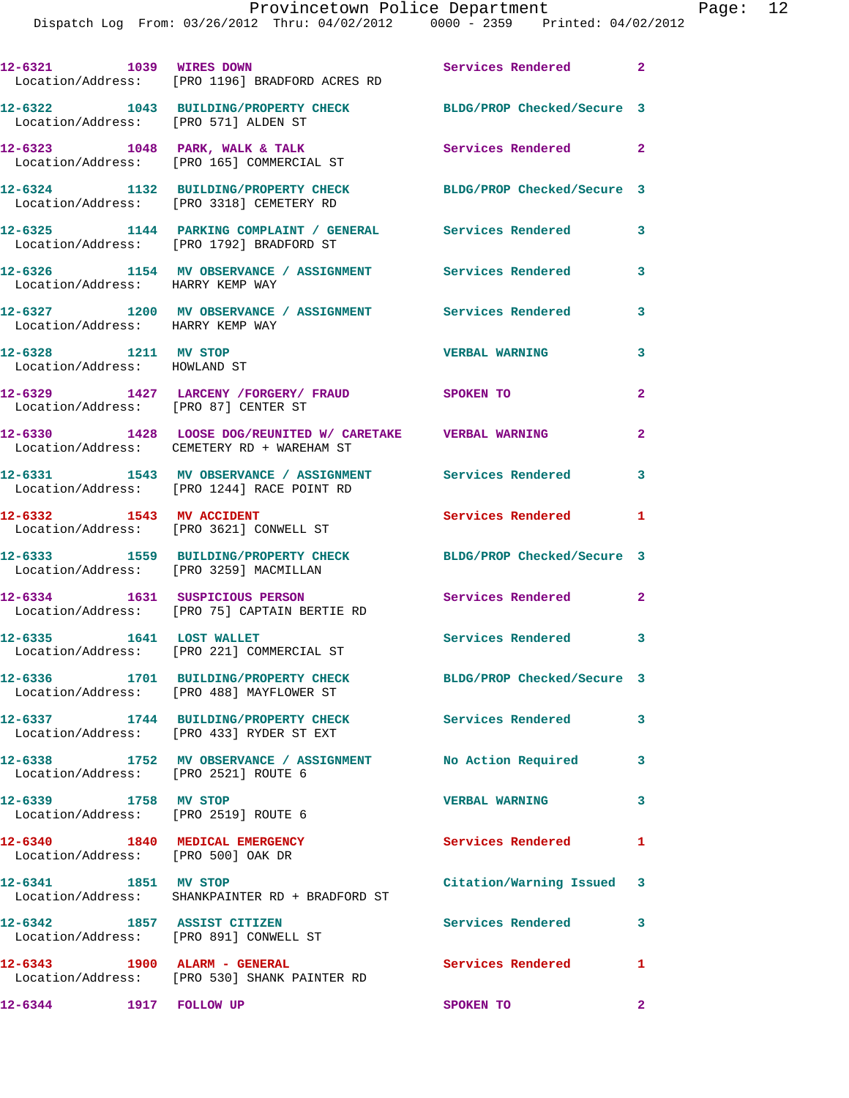| 12-6321 1039 WIRES DOWN                                               | Location/Address: [PRO 1196] BRADFORD ACRES RD                                                           | Services Rendered          | $\mathbf{2}$   |
|-----------------------------------------------------------------------|----------------------------------------------------------------------------------------------------------|----------------------------|----------------|
| Location/Address: [PRO 571] ALDEN ST                                  | 12-6322 1043 BUILDING/PROPERTY CHECK                                                                     | BLDG/PROP Checked/Secure 3 |                |
|                                                                       | $12-6323$ 1048 PARK, WALK & TALK<br>Location/Address: [PRO 165] COMMERCIAL ST                            | <b>Services Rendered</b>   | $\mathbf{2}$   |
|                                                                       | 12-6324 1132 BUILDING/PROPERTY CHECK<br>Location/Address: [PRO 3318] CEMETERY RD                         | BLDG/PROP Checked/Secure 3 |                |
|                                                                       | 12-6325 1144 PARKING COMPLAINT / GENERAL Services Rendered<br>Location/Address: [PRO 1792] BRADFORD ST   |                            | 3              |
| Location/Address: HARRY KEMP WAY                                      | 12-6326 1154 MV OBSERVANCE / ASSIGNMENT Services Rendered                                                |                            | 3              |
| Location/Address: HARRY KEMP WAY                                      | 12-6327 1200 MV OBSERVANCE / ASSIGNMENT Services Rendered                                                |                            | 3              |
| 12-6328 1211 MV STOP<br>Location/Address: HOWLAND ST                  |                                                                                                          | <b>VERBAL WARNING</b>      | 3              |
|                                                                       | 12-6329 1427 LARCENY /FORGERY / FRAUD SPOKEN TO<br>Location/Address: [PRO 87] CENTER ST                  |                            | $\overline{a}$ |
|                                                                       | 12-6330 1428 LOOSE DOG/REUNITED W/ CARETAKE VERBAL WARNING<br>Location/Address: CEMETERY RD + WAREHAM ST |                            | $\overline{a}$ |
|                                                                       | 12-6331 1543 MV OBSERVANCE / ASSIGNMENT Services Rendered<br>Location/Address: [PRO 1244] RACE POINT RD  |                            | 3              |
| 12-6332 1543 MV ACCIDENT                                              | Location/Address: [PRO 3621] CONWELL ST                                                                  | Services Rendered          | 1              |
| Location/Address: [PRO 3259] MACMILLAN                                | 12-6333 1559 BUILDING/PROPERTY CHECK                                                                     | BLDG/PROP Checked/Secure 3 |                |
|                                                                       | 12-6334 1631 SUSPICIOUS PERSON<br>Location/Address: [PRO 75] CAPTAIN BERTIE RD                           | <b>Services Rendered</b>   | $\mathbf{2}$   |
| 12-6335 1641 LOST WALLET                                              | Location/Address: [PRO 221] COMMERCIAL ST                                                                | Services Rendered 3        |                |
|                                                                       | 12-6336 1701 BUILDING/PROPERTY CHECK<br>Location/Address: [PRO 488] MAYFLOWER ST                         | BLDG/PROP Checked/Secure 3 |                |
|                                                                       | 12-6337 1744 BUILDING/PROPERTY CHECK<br>Location/Address: [PRO 433] RYDER ST EXT                         | Services Rendered          | 3              |
|                                                                       | 12-6338 1752 MV OBSERVANCE / ASSIGNMENT No Action Required<br>Location/Address: [PRO 2521] ROUTE 6       |                            | 3              |
| 12-6339 1758 MV STOP<br>Location/Address: [PRO 2519] ROUTE 6          |                                                                                                          | <b>VERBAL WARNING</b>      | 3              |
| 12-6340 1840 MEDICAL EMERGENCY<br>Location/Address: [PRO 500] OAK DR  |                                                                                                          | Services Rendered          | 1              |
| 12-6341 1851 MV STOP                                                  | Location/Address: SHANKPAINTER RD + BRADFORD ST                                                          | Citation/Warning Issued 3  |                |
| 12-6342 1857 ASSIST CITIZEN<br>Location/Address: [PRO 891] CONWELL ST |                                                                                                          | <b>Services Rendered</b>   | 3              |
|                                                                       | 12-6343 1900 ALARM - GENERAL<br>Location/Address: [PRO 530] SHANK PAINTER RD                             | <b>Services Rendered</b>   | 1              |
| 12-6344 1917 FOLLOW UP                                                |                                                                                                          | SPOKEN TO                  | $\mathbf{2}$   |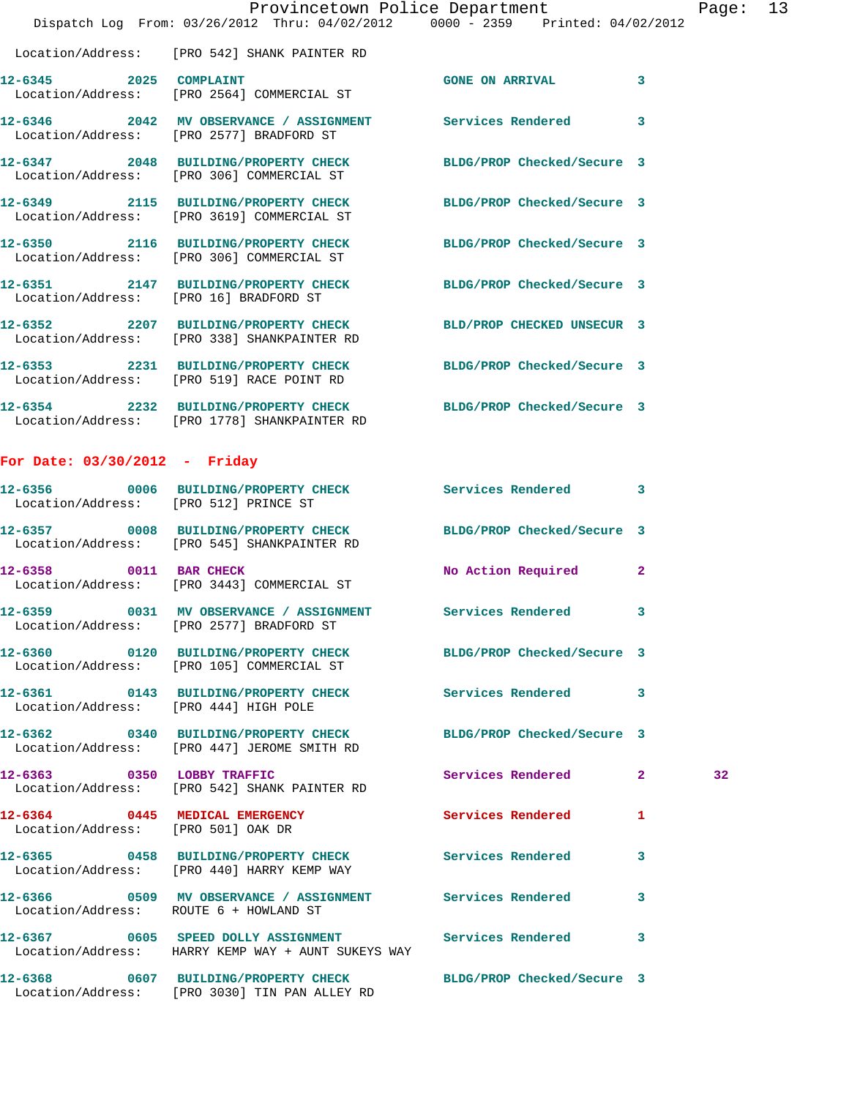|                                        | Dispatch Log From: 03/26/2012 Thru: 04/02/2012 0000 - 2359 Printed: 04/02/2012                                  | Provincetown Police Department |                         | Page: 13 |  |
|----------------------------------------|-----------------------------------------------------------------------------------------------------------------|--------------------------------|-------------------------|----------|--|
|                                        | Location/Address: [PRO 542] SHANK PAINTER RD                                                                    |                                |                         |          |  |
|                                        | 12-6345 2025 COMPLAINT<br>Location/Address: [PRO 2564] COMMERCIAL ST                                            | GONE ON ARRIVAL 3              |                         |          |  |
|                                        | 12-6346 2042 MV OBSERVANCE / ASSIGNMENT Services Rendered<br>Location/Address: [PRO 2577] BRADFORD ST           |                                | $\overline{\mathbf{3}}$ |          |  |
|                                        | 12-6347 2048 BUILDING/PROPERTY CHECK BLDG/PROP Checked/Secure 3<br>Location/Address: [PRO 306] COMMERCIAL ST    |                                |                         |          |  |
|                                        | 12-6349 2115 BUILDING/PROPERTY CHECK BLDG/PROP Checked/Secure 3<br>Location/Address: [PRO 3619] COMMERCIAL ST   |                                |                         |          |  |
|                                        | 12-6350 2116 BUILDING/PROPERTY CHECK BLDG/PROP Checked/Secure 3<br>Location/Address: [PRO 306] COMMERCIAL ST    |                                |                         |          |  |
| Location/Address: [PRO 16] BRADFORD ST | 12-6351 2147 BUILDING/PROPERTY CHECK BLDG/PROP Checked/Secure 3                                                 |                                |                         |          |  |
|                                        | 12-6352 2207 BUILDING/PROPERTY CHECK BLD/PROP CHECKED UNSECUR 3<br>Location/Address: [PRO 338] SHANKPAINTER RD  |                                |                         |          |  |
|                                        | 12-6353 2231 BUILDING/PROPERTY CHECK BLDG/PROP Checked/Secure 3<br>Location/Address: [PRO 519] RACE POINT RD    |                                |                         |          |  |
|                                        | 12-6354 2232 BUILDING/PROPERTY CHECK BLDG/PROP Checked/Secure 3<br>Location/Address: [PRO 1778] SHANKPAINTER RD |                                |                         |          |  |

## **For Date: 03/30/2012 - Friday**

|                                    | 12-6356 0006 BUILDING/PROPERTY CHECK Services Rendered 3<br>Location/Address: [PRO 512] PRINCE ST                                      |                      |                |    |
|------------------------------------|----------------------------------------------------------------------------------------------------------------------------------------|----------------------|----------------|----|
|                                    | 12-6357 0008 BUILDING/PROPERTY CHECK BLDG/PROP Checked/Secure 3<br>Location/Address: [PRO 545] SHANKPAINTER RD                         |                      |                |    |
|                                    | 12-6358 0011 BAR CHECK<br>Location/Address: [PRO 3443] COMMERCIAL ST                                                                   | No Action Required 2 |                |    |
|                                    | 12-6359                0031     MV OBSERVANCE / ASSIGNMENT               Services Rendered<br>Location/Address: [PRO 2577] BRADFORD ST |                      | 3              |    |
|                                    | 12-6360 0120 BUILDING/PROPERTY CHECK BLDG/PROP Checked/Secure 3<br>Location/Address: [PRO 105] COMMERCIAL ST                           |                      |                |    |
|                                    | 12-6361 0143 BUILDING/PROPERTY CHECK Services Rendered 3<br>Location/Address: [PRO 444] HIGH POLE                                      |                      |                |    |
|                                    | 12-6362 0340 BUILDING/PROPERTY CHECK BLDG/PROP Checked/Secure 3<br>Location/Address: [PRO 447] JEROME SMITH RD                         |                      |                |    |
|                                    | 12-6363 0350 LOBBY TRAFFIC<br>Location/Address: [PRO 542] SHANK PAINTER RD                                                             | Services Rendered    | 2 <sup>1</sup> | 32 |
| Location/Address: [PRO 501] OAK DR | 12-6364 0445 MEDICAL EMERGENCY                                                                                                         | Services Rendered    | $\mathbf{1}$   |    |
|                                    | 12-6365 0458 BUILDING/PROPERTY CHECK Services Rendered<br>Location/Address: [PRO 440] HARRY KEMP WAY                                   |                      | 3              |    |
|                                    | Location/Address: ROUTE 6 + HOWLAND ST                                                                                                 |                      | 3              |    |
|                                    | 12-6367 605 SPEED DOLLY ASSIGNMENT Services Rendered<br>Location/Address: HARRY KEMP WAY + AUNT SUKEYS WAY                             |                      | $\mathbf{3}$   |    |
|                                    |                                                                                                                                        |                      |                |    |

Location/Address: [PRO 3030] TIN PAN ALLEY RD

**12-6368 0607 BUILDING/PROPERTY CHECK BLDG/PROP Checked/Secure 3**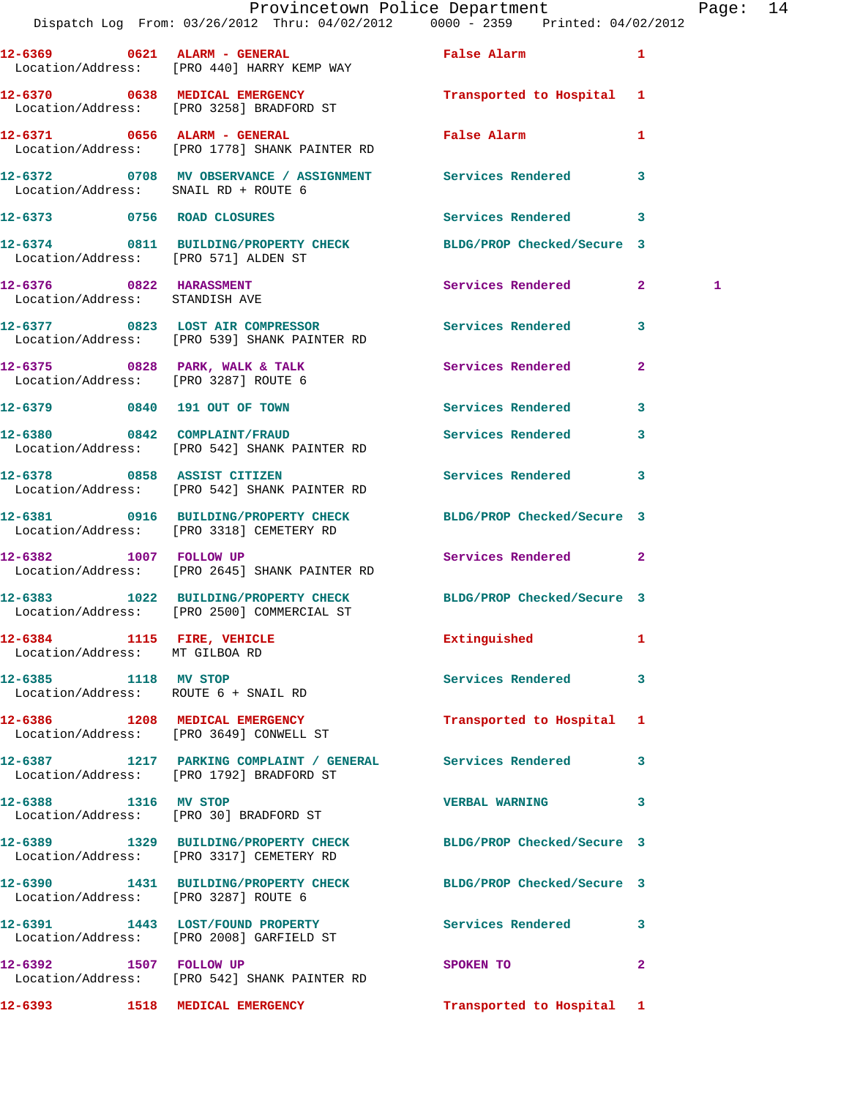|                                                              | Dispatch Log From: 03/26/2012 Thru: 04/02/2012 0000 - 2359 Printed: 04/02/2012                                | Provincetown Police Department              |              | Page: 14 |  |
|--------------------------------------------------------------|---------------------------------------------------------------------------------------------------------------|---------------------------------------------|--------------|----------|--|
|                                                              | Location/Address: [PRO 440] HARRY KEMP WAY                                                                    |                                             |              |          |  |
|                                                              | 12-6370 0638 MEDICAL EMERGENCY Transported to Hospital 1<br>Location/Address: [PRO 3258] BRADFORD ST          |                                             |              |          |  |
|                                                              | 12-6371 0656 ALARM - GENERAL<br>Location/Address: [PRO 1778] SHANK PAINTER RD                                 | False Alarm <b>Exercise Service Service</b> | $\mathbf{1}$ |          |  |
| Location/Address: SNAIL RD + ROUTE 6                         | 12-6372 0708 MV OBSERVANCE / ASSIGNMENT Services Rendered                                                     |                                             | 3            |          |  |
| 12-6373 0756 ROAD CLOSURES                                   |                                                                                                               | Services Rendered 3                         |              |          |  |
| Location/Address: [PRO 571] ALDEN ST                         | 12-6374 0811 BUILDING/PROPERTY CHECK BLDG/PROP Checked/Secure 3                                               |                                             |              |          |  |
|                                                              |                                                                                                               | Services Rendered 2                         |              | 1        |  |
|                                                              | 12-6377 0823 LOST AIR COMPRESSOR Services Rendered<br>Location/Address: [PRO 539] SHANK PAINTER RD            |                                             | 3            |          |  |
|                                                              |                                                                                                               |                                             | $\mathbf{2}$ |          |  |
|                                                              | 12-6379 0840 191 OUT OF TOWN                                                                                  | Services Rendered                           | 3            |          |  |
|                                                              | 12-6380 0842 COMPLAINT/FRAUD<br>Location/Address: [PRO 542] SHANK PAINTER RD                                  | Services Rendered 3                         |              |          |  |
|                                                              | 12-6378 0858 ASSIST CITIZEN<br>Location/Address: [PRO 542] SHANK PAINTER RD                                   | Services Rendered                           | $\mathbf{3}$ |          |  |
|                                                              | 12-6381 0916 BUILDING/PROPERTY CHECK BLDG/PROP Checked/Secure 3<br>Location/Address: [PRO 3318] CEMETERY RD   |                                             |              |          |  |
|                                                              | 12-6382 1007 FOLLOW UP<br>Location/Address: [PRO 2645] SHANK PAINTER RD                                       | Services Rendered 2                         |              |          |  |
|                                                              | 12-6383 1022 BUILDING/PROPERTY CHECK BLDG/PROP Checked/Secure 3<br>Location/Address: [PRO 2500] COMMERCIAL ST |                                             |              |          |  |
| 12-6384 1115 FIRE, VEHICLE<br>Location/Address: MT GILBOA RD |                                                                                                               | Extinguished 1                              |              |          |  |
| 12-6385 1118 MV STOP<br>Location/Address: ROUTE 6 + SNAIL RD |                                                                                                               | Services Rendered 3                         |              |          |  |
|                                                              | 12-6386 1208 MEDICAL EMERGENCY<br>Location/Address: [PRO 3649] CONWELL ST                                     | Transported to Hospital 1                   |              |          |  |
|                                                              | 12-6387 1217 PARKING COMPLAINT / GENERAL Services Rendered 3<br>Location/Address: [PRO 1792] BRADFORD ST      |                                             |              |          |  |
| 12-6388 1316 MV STOP                                         | Location/Address: [PRO 30] BRADFORD ST                                                                        | VERBAL WARNING 3                            |              |          |  |
|                                                              | 12-6389 1329 BUILDING/PROPERTY CHECK BLDG/PROP Checked/Secure 3<br>Location/Address: [PRO 3317] CEMETERY RD   |                                             |              |          |  |
| Location/Address: [PRO 3287] ROUTE 6                         | 12-6390 1431 BUILDING/PROPERTY CHECK BLDG/PROP Checked/Secure 3                                               |                                             |              |          |  |
|                                                              | 12-6391 1443 LOST/FOUND PROPERTY<br>Location/Address: [PRO 2008] GARFIELD ST                                  | Services Rendered 3                         |              |          |  |
|                                                              | 12-6392 1507 FOLLOW UP<br>Location/Address: [PRO 542] SHANK PAINTER RD                                        | SPOKEN TO                                   | $\mathbf{2}$ |          |  |
|                                                              | 12-6393 1518 MEDICAL EMERGENCY                                                                                | Transported to Hospital 1                   |              |          |  |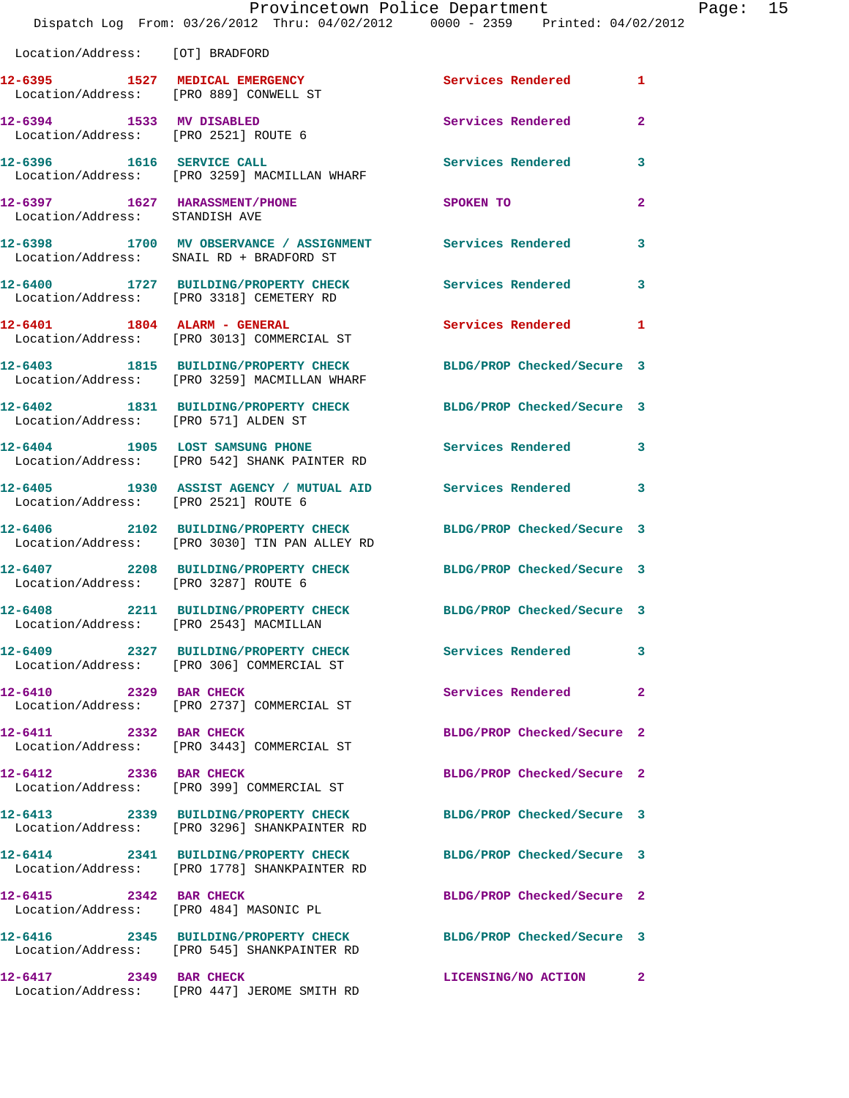|                                      | Dispatch Log From: 03/26/2012 Thru: 04/02/2012 0000 - 2359 Printed: 04/02/2012                                   | Provincetown Police Department |              | Page: 15 |  |
|--------------------------------------|------------------------------------------------------------------------------------------------------------------|--------------------------------|--------------|----------|--|
| Location/Address: [OT] BRADFORD      |                                                                                                                  |                                |              |          |  |
|                                      | 12-6395 1527 MEDICAL EMERGENCY<br>Location/Address: [PRO 889] CONWELL ST                                         | Services Rendered 1            |              |          |  |
| Location/Address: [PRO 2521] ROUTE 6 | 12-6394 1533 MV DISABLED                                                                                         | Services Rendered              | $\mathbf{2}$ |          |  |
|                                      | 12-6396 1616 SERVICE CALL<br>Location/Address: [PRO 3259] MACMILLAN WHARF                                        | Services Rendered 3            |              |          |  |
| Location/Address: STANDISH AVE       | 12-6397 1627 HARASSMENT/PHONE                                                                                    | SPOKEN TO                      | $\mathbf{2}$ |          |  |
|                                      | 12-6398 1700 MV OBSERVANCE / ASSIGNMENT Services Rendered 3<br>Location/Address: SNAIL RD + BRADFORD ST          |                                |              |          |  |
|                                      | 12-6400 1727 BUILDING/PROPERTY CHECK<br>Location/Address: [PRO 3318] CEMETERY RD                                 | <b>Services Rendered</b>       | $\mathbf{3}$ |          |  |
|                                      | 12-6401 1804 ALARM - GENERAL<br>Location/Address: [PRO 3013] COMMERCIAL ST                                       | Services Rendered 1            |              |          |  |
|                                      | 12-6403 1815 BUILDING/PROPERTY CHECK BLDG/PROP Checked/Secure 3<br>Location/Address: [PRO 3259] MACMILLAN WHARF  |                                |              |          |  |
| Location/Address: [PRO 571] ALDEN ST | 12-6402 1831 BUILDING/PROPERTY CHECK BLDG/PROP Checked/Secure 3                                                  |                                |              |          |  |
|                                      | 12-6404 1905 LOST SAMSUNG PHONE<br>Location/Address: [PRO 542] SHANK PAINTER RD                                  | <b>Services Rendered</b> 3     |              |          |  |
| Location/Address: [PRO 2521] ROUTE 6 | 12-6405 1930 ASSIST AGENCY / MUTUAL AID Services Rendered 3                                                      |                                |              |          |  |
|                                      | 12-6406 2102 BUILDING/PROPERTY CHECK BLDG/PROP Checked/Secure 3<br>Location/Address: [PRO 3030] TIN PAN ALLEY RD |                                |              |          |  |
| Location/Address: [PRO 3287] ROUTE 6 | 12-6407 2208 BUILDING/PROPERTY CHECK BLDG/PROP Checked/Secure 3                                                  |                                |              |          |  |
|                                      | 12-6408 2211 BUILDING/PROPERTY CHECK BLDG/PROP Checked/Secure 3<br>Location/Address: [PRO 2543] MACMILLAN        |                                |              |          |  |
|                                      | 12-6409 2327 BUILDING/PROPERTY CHECK Services Rendered 3<br>Location/Address: [PRO 306] COMMERCIAL ST            |                                |              |          |  |
|                                      | 12-6410 2329 BAR CHECK<br>Location/Address: [PRO 2737] COMMERCIAL ST                                             | Services Rendered              | $\mathbf{2}$ |          |  |
| 12-6411 2332 BAR CHECK               | Location/Address: [PRO 3443] COMMERCIAL ST                                                                       | BLDG/PROP Checked/Secure 2     |              |          |  |
|                                      | 12-6412 2336 BAR CHECK<br>Location/Address: [PRO 399] COMMERCIAL ST                                              | BLDG/PROP Checked/Secure 2     |              |          |  |
|                                      | 12-6413 2339 BUILDING/PROPERTY CHECK BLDG/PROP Checked/Secure 3<br>Location/Address: [PRO 3296] SHANKPAINTER RD  |                                |              |          |  |
|                                      | 12-6414 2341 BUILDING/PROPERTY CHECK<br>Location/Address: [PRO 1778] SHANKPAINTER RD                             | BLDG/PROP Checked/Secure 3     |              |          |  |
| 12-6415 2342 BAR CHECK               | Location/Address: [PRO 484] MASONIC PL                                                                           | BLDG/PROP Checked/Secure 2     |              |          |  |
|                                      | Location/Address: [PRO 545] SHANKPAINTER RD                                                                      |                                |              |          |  |
| 12-6417 2349 BAR CHECK               | Location/Address: [PRO 447] JEROME SMITH RD                                                                      | LICENSING/NO ACTION 2          |              |          |  |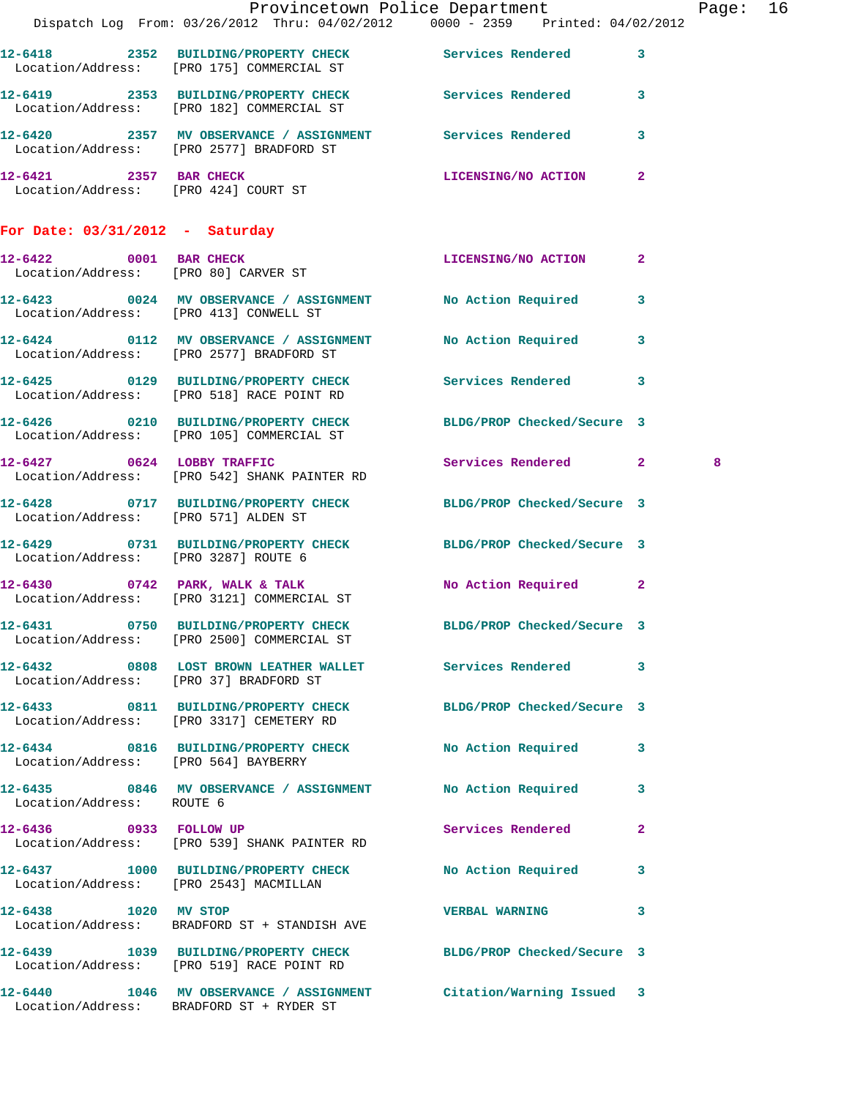|                                      |                                                                                                       | Provincetown Police Department<br>Dispatch Log From: 03/26/2012 Thru: 04/02/2012 0000 - 2359 Printed: 04/02/2012 | Page: 16 |
|--------------------------------------|-------------------------------------------------------------------------------------------------------|------------------------------------------------------------------------------------------------------------------|----------|
|                                      |                                                                                                       |                                                                                                                  |          |
|                                      | Location/Address: [PRO 175] COMMERCIAL ST                                                             | 12-6418 2352 BUILDING/PROPERTY CHECK Services Rendered 3                                                         |          |
|                                      | Location/Address: [PRO 182] COMMERCIAL ST                                                             | 12-6419 2353 BUILDING/PROPERTY CHECK Services Rendered 3                                                         |          |
|                                      | 12-6420 2357 MV OBSERVANCE / ASSIGNMENT Services Rendered<br>Location/Address: [PRO 2577] BRADFORD ST | 3                                                                                                                |          |
| 12-6421 2357 BAR CHECK               | Location/Address: [PRO 424] COURT ST                                                                  | LICENSING/NO ACTION 2                                                                                            |          |
| For Date: $03/31/2012$ - Saturday    |                                                                                                       |                                                                                                                  |          |
|                                      | 12-6422 0001 BAR CHECK<br>Location/Address: [PRO 80] CARVER ST                                        | LICENSING/NO ACTION 2                                                                                            |          |
|                                      | 12-6423 0024 MV OBSERVANCE / ASSIGNMENT No Action Required<br>Location/Address: [PRO 413] CONWELL ST  | $\mathbf{3}$                                                                                                     |          |
|                                      |                                                                                                       | 12-6424 0112 MV OBSERVANCE / ASSIGNMENT No Action Required 3<br>Location/Address: [PRO 2577] BRADFORD ST         |          |
|                                      |                                                                                                       | 12-6425 0129 BUILDING/PROPERTY CHECK Services Rendered 3<br>Location/Address: [PRO 518] RACE POINT RD            |          |
|                                      | 12-6426 0210 BUILDING/PROPERTY CHECK<br>Location/Address: [PRO 105] COMMERCIAL ST                     | BLDG/PROP Checked/Secure 3                                                                                       |          |
|                                      | 12-6427 0624 LOBBY TRAFFIC<br>Location/Address: [PRO 542] SHANK PAINTER RD                            | Services Rendered 2                                                                                              | 8        |
| Location/Address: [PRO 571] ALDEN ST |                                                                                                       | 12-6428 0717 BUILDING/PROPERTY CHECK BLDG/PROP Checked/Secure 3                                                  |          |
|                                      | Location/Address: [PRO 3287] ROUTE 6                                                                  | 12-6429 0731 BUILDING/PROPERTY CHECK BLDG/PROP Checked/Secure 3                                                  |          |
|                                      | 12-6430 0742 PARK, WALK & TALK<br>Location/Address: [PRO 3121] COMMERCIAL ST                          | No Action Required 2                                                                                             |          |
| 12-6431                              | 0750 BUILDING/PROPERTY CHECK<br>Location/Address: [PRO 2500] COMMERCIAL ST                            | BLDG/PROP Checked/Secure 3                                                                                       |          |
|                                      | Location/Address: [PRO 37] BRADFORD ST                                                                | 12-6432 0808 LOST BROWN LEATHER WALLET Services Rendered 3                                                       |          |
|                                      | 12-6433 0811 BUILDING/PROPERTY CHECK<br>Location/Address: [PRO 3317] CEMETERY RD                      | BLDG/PROP Checked/Secure 3                                                                                       |          |
| Location/Address: [PRO 564] BAYBERRY | 12-6434 0816 BUILDING/PROPERTY CHECK No Action Required                                               | 3                                                                                                                |          |
| Location/Address: ROUTE 6            | 12-6435 0846 MV OBSERVANCE / ASSIGNMENT No Action Required                                            | 3                                                                                                                |          |
| 12-6436 0933 FOLLOW UP               | Location/Address: [PRO 539] SHANK PAINTER RD                                                          | Services Rendered<br>$\mathbf{2}$                                                                                |          |
|                                      | Location/Address: [PRO 2543] MACMILLAN                                                                | 12-6437 1000 BUILDING/PROPERTY CHECK No Action Required 3                                                        |          |
| 12-6438 1020 MV STOP                 | Location/Address: BRADFORD ST + STANDISH AVE                                                          | <b>VERBAL WARNING</b><br>3                                                                                       |          |
|                                      | Location/Address: [PRO 519] RACE POINT RD                                                             | 12-6439 1039 BUILDING/PROPERTY CHECK BLDG/PROP Checked/Secure 3                                                  |          |
|                                      | 12-6440 1046 MV OBSERVANCE / ASSIGNMENT<br>Location/Address: BRADFORD ST + RYDER ST                   | Citation/Warning Issued 3                                                                                        |          |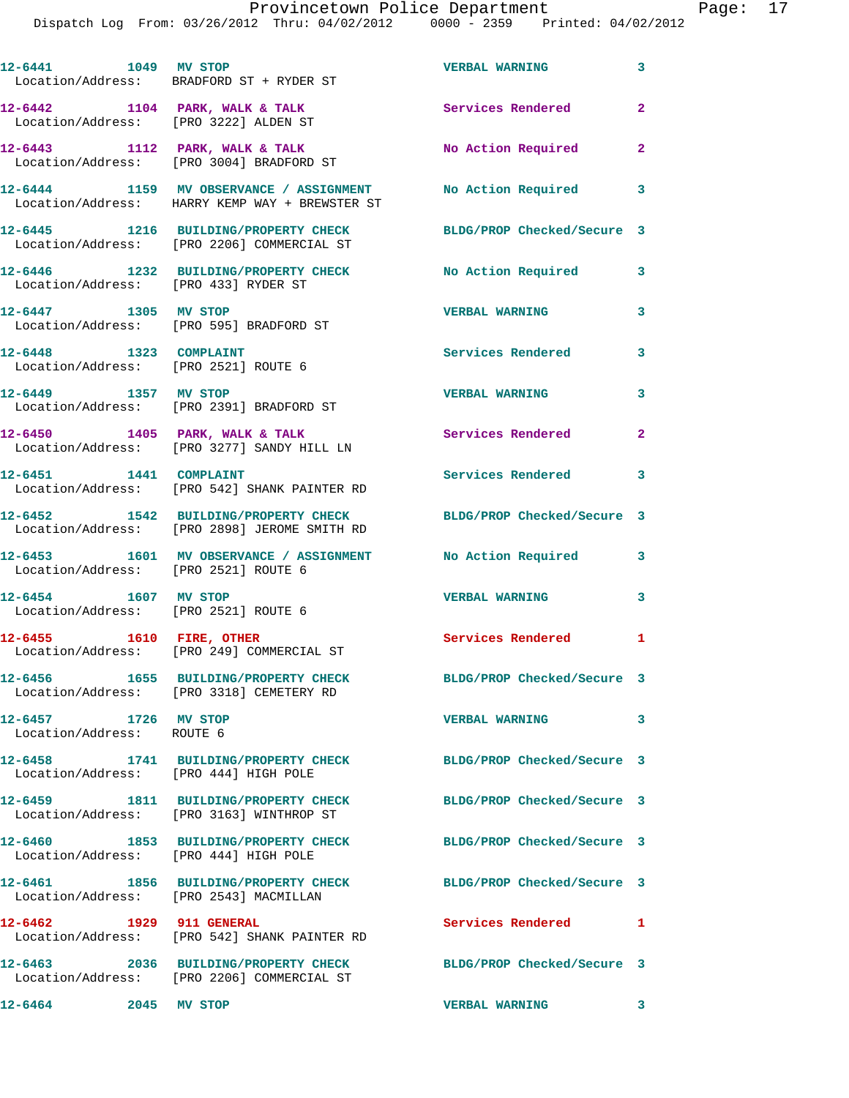| 12-6441 1049 MV STOP                                           | Location/Address: BRADFORD ST + RYDER ST                                                                        | <b>VERBAL WARNING</b>             | $\overline{\mathbf{3}}$  |
|----------------------------------------------------------------|-----------------------------------------------------------------------------------------------------------------|-----------------------------------|--------------------------|
| Location/Address: [PRO 3222] ALDEN ST                          | 12-6442 1104 PARK, WALK & TALK                                                                                  | Services Rendered                 | $\overline{2}$           |
|                                                                | $12-6443$ 1112 PARK, WALK & TALK<br>Location/Address: [PRO 3004] BRADFORD ST                                    | No Action Required 2              |                          |
|                                                                | 12-6444 1159 MV OBSERVANCE / ASSIGNMENT No Action Required 3<br>Location/Address: HARRY KEMP WAY + BREWSTER ST  |                                   |                          |
|                                                                | 12-6445 1216 BUILDING/PROPERTY CHECK<br>Location/Address: [PRO 2206] COMMERCIAL ST                              | BLDG/PROP Checked/Secure 3        |                          |
|                                                                | 12-6446 1232 BUILDING/PROPERTY CHECK<br>Location/Address: [PRO 433] RYDER ST                                    | No Action Required                | $\mathbf{3}$             |
| 12-6447 1305 MV STOP                                           | Location/Address: [PRO 595] BRADFORD ST                                                                         | <b>VERBAL WARNING</b>             | 3                        |
| 12-6448 1323 COMPLAINT<br>Location/Address: [PRO 2521] ROUTE 6 |                                                                                                                 | Services Rendered                 | $\overline{\mathbf{3}}$  |
| 12-6449 1357 MV STOP                                           | Location/Address: [PRO 2391] BRADFORD ST                                                                        | <b>VERBAL WARNING</b>             | $\overline{\mathbf{3}}$  |
|                                                                | $12-6450$ 1405 PARK, WALK & TALK<br>Location/Address: [PRO 3277] SANDY HILL LN                                  | Services Rendered 2               |                          |
| 12-6451 1441 COMPLAINT                                         | Location/Address: [PRO 542] SHANK PAINTER RD                                                                    | <b>Services Rendered</b>          | 3                        |
|                                                                | 12-6452 1542 BUILDING/PROPERTY CHECK BLDG/PROP Checked/Secure 3<br>Location/Address: [PRO 2898] JEROME SMITH RD |                                   |                          |
| Location/Address: [PRO 2521] ROUTE 6                           | 12-6453 1601 MV OBSERVANCE / ASSIGNMENT No Action Required                                                      |                                   | 3                        |
| 12-6454 1607 MV STOP<br>Location/Address: [PRO 2521] ROUTE 6   |                                                                                                                 | <b>VERBAL WARNING</b>             | $\overline{\phantom{a}}$ |
|                                                                | 12-6455 1610 FIRE, OTHER<br>Location/Address: [PRO 249] COMMERCIAL ST                                           | Services Rendered 1               |                          |
|                                                                | 12-6456 1655 BUILDING/PROPERTY CHECK<br>Location/Address: [PRO 3318] CEMETERY RD                                | BLDG/PROP Checked/Secure 3        |                          |
| 12-6457 1726 MV STOP<br>Location/Address: ROUTE 6              |                                                                                                                 | <b>VERBAL WARNING</b>             | $\mathbf{3}$             |
| 12-6458<br>Location/Address: [PRO 444] HIGH POLE               | 1741 BUILDING/PROPERTY CHECK                                                                                    | BLDG/PROP Checked/Secure 3        |                          |
|                                                                | 12-6459 1811 BUILDING/PROPERTY CHECK<br>Location/Address: [PRO 3163] WINTHROP ST                                | BLDG/PROP Checked/Secure 3        |                          |
| Location/Address: [PRO 444] HIGH POLE                          | 12-6460 1853 BUILDING/PROPERTY CHECK                                                                            | BLDG/PROP Checked/Secure 3        |                          |
| Location/Address: [PRO 2543] MACMILLAN                         | 12-6461 1856 BUILDING/PROPERTY CHECK                                                                            | BLDG/PROP Checked/Secure 3        |                          |
| 12-6462 1929 911 GENERAL                                       | Location/Address: [PRO 542] SHANK PAINTER RD                                                                    | Services Rendered                 | $\mathbf{1}$             |
|                                                                | 12-6463 2036 BUILDING/PROPERTY CHECK<br>Location/Address: [PRO 2206] COMMERCIAL ST                              | BLDG/PROP Checked/Secure 3        |                          |
| 12-6464<br>2045 MV STOP                                        |                                                                                                                 | <b>VERBAL WARNING</b><br>$\sim$ 3 |                          |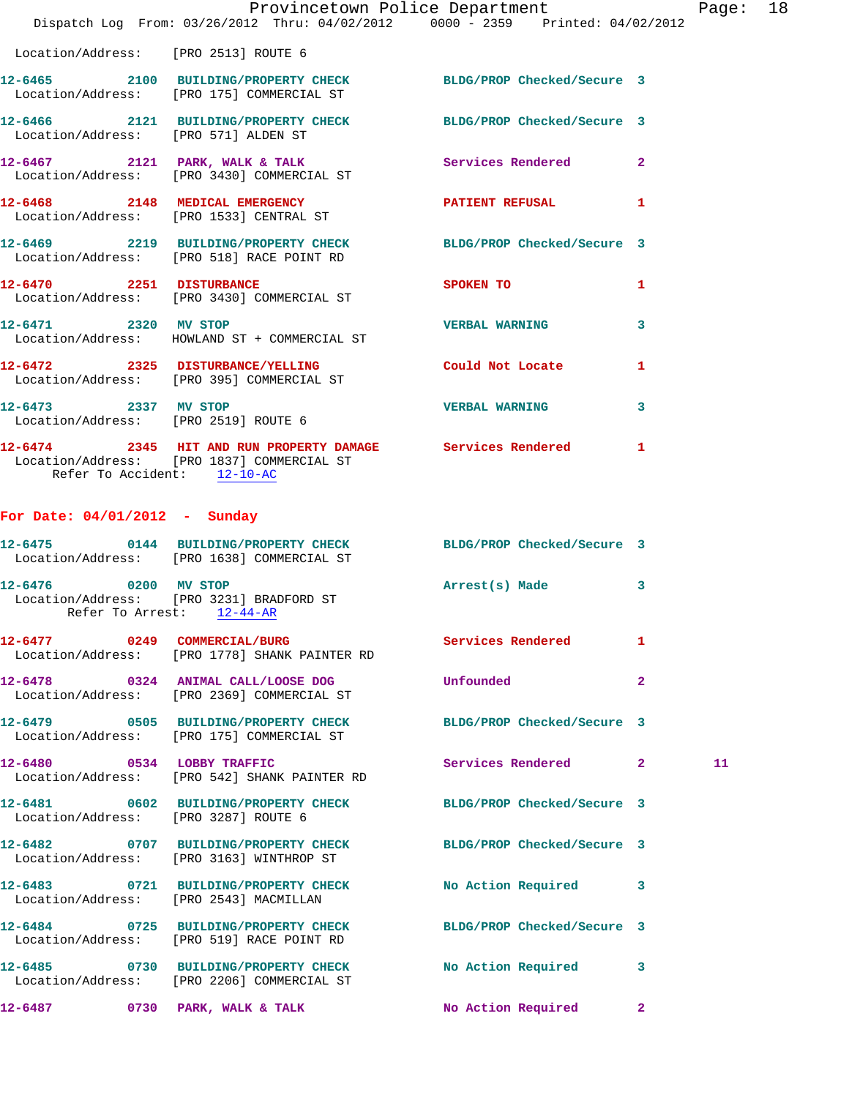|                                      | Dispatch Log From: 03/26/2012 Thru: 04/02/2012 0000 - 2359 Printed: 04/02/2012                                | Provincetown Police Department |                | Page |
|--------------------------------------|---------------------------------------------------------------------------------------------------------------|--------------------------------|----------------|------|
|                                      | Location/Address: [PRO 2513] ROUTE 6                                                                          |                                |                |      |
|                                      | 12-6465 2100 BUILDING/PROPERTY CHECK BLDG/PROP Checked/Secure 3<br>Location/Address: [PRO 175] COMMERCIAL ST  |                                |                |      |
|                                      | 12-6466 2121 BUILDING/PROPERTY CHECK BLDG/PROP Checked/Secure 3<br>Location/Address: [PRO 571] ALDEN ST       |                                |                |      |
|                                      | 12-6467 2121 PARK, WALK & TALK<br>Location/Address: [PRO 3430] COMMERCIAL ST                                  |                                | $\mathbf{2}$   |      |
|                                      | 12-6468 2148 MEDICAL EMERGENCY PATIENT REFUSAL<br>Location/Address: [PRO 1533] CENTRAL ST                     |                                | 1              |      |
|                                      | 12-6469 2219 BUILDING/PROPERTY CHECK BLDG/PROP Checked/Secure 3<br>Location/Address: [PRO 518] RACE POINT RD  |                                |                |      |
|                                      | 12-6470 2251 DISTURBANCE<br>Location/Address: [PRO 3430] COMMERCIAL ST                                        | <b>SPOKEN TO</b>               | 1              |      |
| 12-6471 2320 MV STOP                 | Location/Address: HOWLAND ST + COMMERCIAL ST                                                                  | <b>VERBAL WARNING</b>          | 3              |      |
|                                      | 12-6472 2325 DISTURBANCE/YELLING Could Not Locate<br>Location/Address: [PRO 395] COMMERCIAL ST                |                                | 1              |      |
| 12-6473 2337 MV STOP                 | Location/Address: [PRO 2519] ROUTE 6                                                                          | <b>VERBAL WARNING</b>          | 3              |      |
| Refer To Accident: 12-10-AC          | 12-6474 2345 HIT AND RUN PROPERTY DAMAGE Services Rendered<br>Location/Address: [PRO 1837] COMMERCIAL ST      |                                | $\mathbf{1}$   |      |
| For Date: $04/01/2012$ - Sunday      |                                                                                                               |                                |                |      |
|                                      | 12-6475 0144 BUILDING/PROPERTY CHECK BLDG/PROP Checked/Secure 3<br>Location/Address: [PRO 1638] COMMERCIAL ST |                                |                |      |
| 12-6476 0200 MV STOP                 | Location/Address: [PRO 3231] BRADFORD ST<br>Refer To Arrest: 12-44-AR                                         | Arrest(s) Made                 | 3              |      |
|                                      | 12-6477 0249 COMMERCIAL/BURG<br>Location/Address: [PRO 1778] SHANK PAINTER RD                                 | Services Rendered              | 1              |      |
|                                      | 12-6478 0324 ANIMAL CALL/LOOSE DOG<br>Location/Address: [PRO 2369] COMMERCIAL ST                              | Unfounded                      | $\overline{2}$ |      |
|                                      | 12-6479 0505 BUILDING/PROPERTY CHECK<br>Location/Address: [PRO 175] COMMERCIAL ST                             | BLDG/PROP Checked/Secure 3     |                |      |
| 12-6480 0534 LOBBY TRAFFIC           | Location/Address: [PRO 542] SHANK PAINTER RD                                                                  | Services Rendered              | $\mathbf{2}$   | 11   |
| Location/Address: [PRO 3287] ROUTE 6 | 12-6481 0602 BUILDING/PROPERTY CHECK                                                                          | BLDG/PROP Checked/Secure 3     |                |      |
|                                      | 12-6482 0707 BUILDING/PROPERTY CHECK<br>Location/Address: [PRO 3163] WINTHROP ST                              | BLDG/PROP Checked/Secure 3     |                |      |
|                                      |                                                                                                               |                                |                |      |

**12-6483 0721 BUILDING/PROPERTY CHECK No Action Required 3**  Location/Address: [PRO 2543] MACMILLAN

Location/Address: [PRO 519] RACE POINT RD

Location/Address: [PRO 2206] COMMERCIAL ST

**12-6484 0725 BUILDING/PROPERTY CHECK BLDG/PROP Checked/Secure 3** 

**12-6485 0730 BUILDING/PROPERTY CHECK No Action Required 3** 

**12-6487 0730 PARK, WALK & TALK No Action Required 2**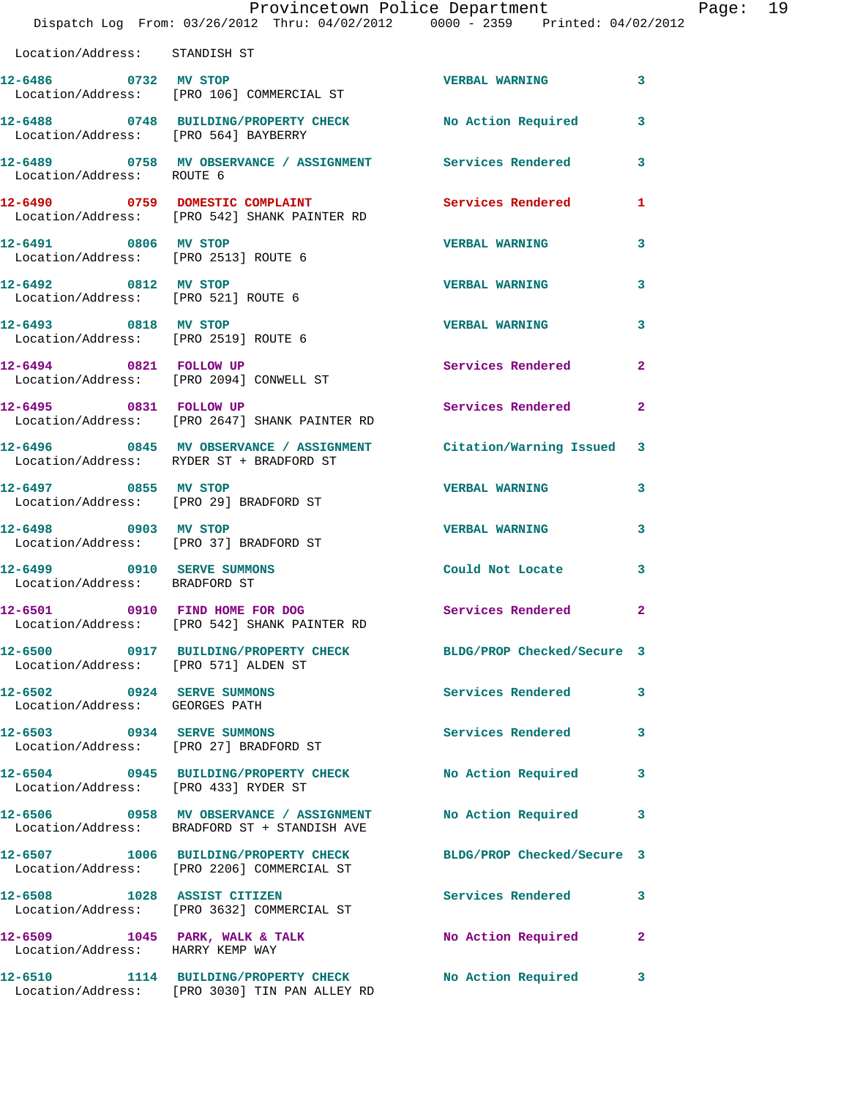|                                                                | Provincetown Police Department<br>Dispatch Log From: 03/26/2012 Thru: 04/02/2012 0000 - 2359 Printed: 04/02/2012 |                            |              |
|----------------------------------------------------------------|------------------------------------------------------------------------------------------------------------------|----------------------------|--------------|
| Location/Address: STANDISH ST                                  |                                                                                                                  |                            |              |
|                                                                | 12-6486 0732 MV STOP<br>Location/Address: [PRO 106] COMMERCIAL ST                                                | <b>VERBAL WARNING</b>      | 3            |
| Location/Address: [PRO 564] BAYBERRY                           | 12-6488 0748 BUILDING/PROPERTY CHECK No Action Required                                                          |                            | 3            |
| Location/Address: ROUTE 6                                      | 12-6489 		 0758 MV OBSERVANCE / ASSIGNMENT Services Rendered                                                     |                            | 3            |
|                                                                | 12-6490 0759 DOMESTIC COMPLAINT<br>Location/Address: [PRO 542] SHANK PAINTER RD                                  | <b>Services Rendered</b>   | 1            |
| 12-6491 0806 MV STOP<br>Location/Address: [PRO 2513] ROUTE 6   |                                                                                                                  | <b>VERBAL WARNING</b>      | 3            |
| 12-6492 0812 MV STOP<br>Location/Address: [PRO 521] ROUTE 6    |                                                                                                                  | <b>VERBAL WARNING</b>      | 3            |
| 12-6493 0818 MV STOP<br>Location/Address: [PRO 2519] ROUTE 6   |                                                                                                                  | <b>VERBAL WARNING</b>      | 3            |
| 12-6494 0821 FOLLOW UP                                         | Location/Address: [PRO 2094] CONWELL ST                                                                          | Services Rendered          | $\mathbf{2}$ |
| 12-6495 0831 FOLLOW UP                                         | Location/Address: [PRO 2647] SHANK PAINTER RD                                                                    | <b>Services Rendered</b>   | $\mathbf{2}$ |
|                                                                | 12-6496 6845 MV OBSERVANCE / ASSIGNMENT Citation/Warning Issued<br>Location/Address: RYDER ST + BRADFORD ST      |                            | 3            |
| 12-6497 0855 MV STOP                                           | Location/Address: [PRO 29] BRADFORD ST                                                                           | <b>VERBAL WARNING</b>      | 3            |
| 12-6498 0903 MV STOP<br>Location/Address: [PRO 37] BRADFORD ST |                                                                                                                  | <b>VERBAL WARNING</b>      | 3            |
| 12-6499 0910 SERVE SUMMONS<br>Location/Address: BRADFORD ST    |                                                                                                                  | Could Not Locate           | 3            |
| 12-6501 0910 FIND HOME FOR DOG                                 | Location/Address: [PRO 542] SHANK PAINTER RD                                                                     | Services Rendered          | $\mathbf{2}$ |
| Location/Address: [PRO 571] ALDEN ST                           | 12-6500 0917 BUILDING/PROPERTY CHECK                                                                             | BLDG/PROP Checked/Secure 3 |              |
| 12-6502 0924 SERVE SUMMONS<br>Location/Address: GEORGES PATH   |                                                                                                                  | <b>Services Rendered</b>   | 3            |
| 12-6503 0934 SERVE SUMMONS                                     | Location/Address: [PRO 27] BRADFORD ST                                                                           | Services Rendered          | 3            |
| Location/Address: [PRO 433] RYDER ST                           | 12-6504 0945 BUILDING/PROPERTY CHECK                                                                             | No Action Required         | 3            |
|                                                                | 12-6506 0958 MV OBSERVANCE / ASSIGNMENT<br>Location/Address: BRADFORD ST + STANDISH AVE                          | <b>No Action Required</b>  | 3            |
|                                                                | 12-6507 1006 BUILDING/PROPERTY CHECK<br>Location/Address: [PRO 2206] COMMERCIAL ST                               | BLDG/PROP Checked/Secure 3 |              |
| 12-6508 1028 ASSIST CITIZEN                                    | Location/Address: [PRO 3632] COMMERCIAL ST                                                                       | Services Rendered          | 3            |
| Location/Address: HARRY KEMP WAY                               | $12-6509$ 1045 PARK, WALK & TALK                                                                                 | No Action Required         | $\mathbf{2}$ |
|                                                                | 12-6510 1114 BUILDING/PROPERTY CHECK                                                                             | No Action Required         | 3            |

Location/Address: [PRO 3030] TIN PAN ALLEY RD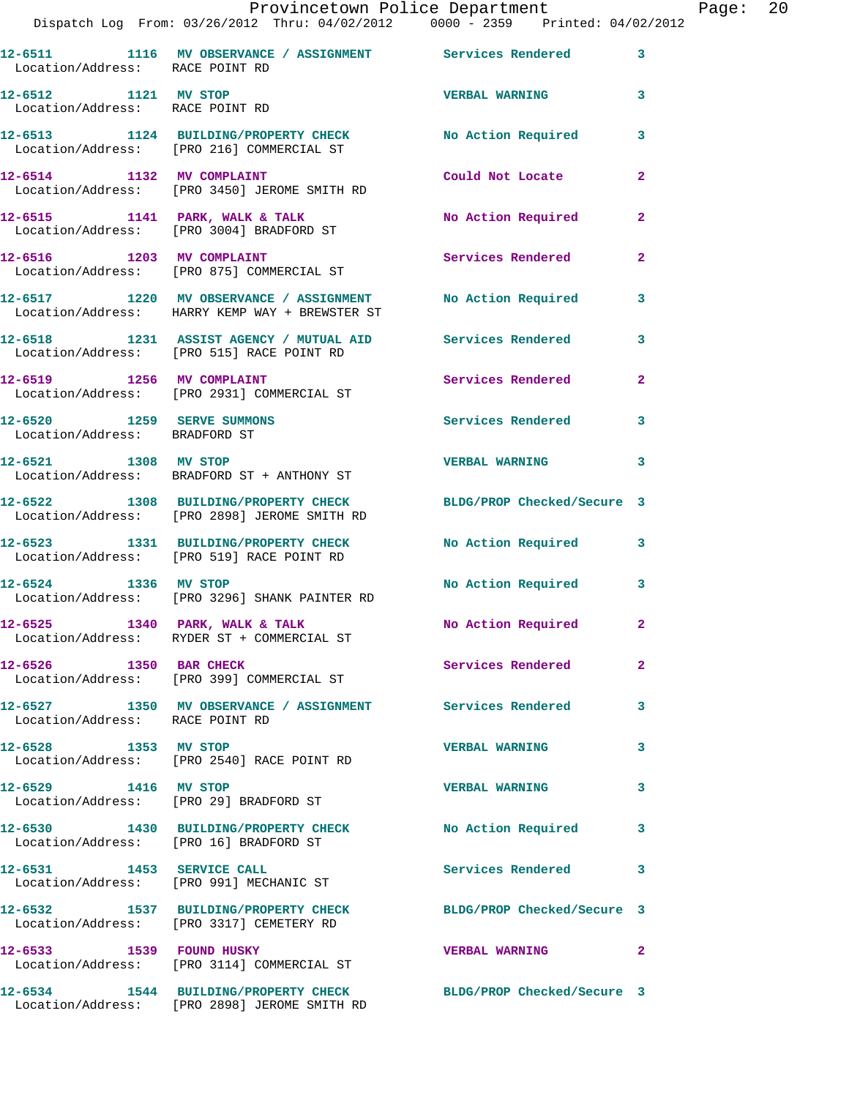|  |                       | Provincetown Police Department |             |                     | Page: $20$ |  |
|--|-----------------------|--------------------------------|-------------|---------------------|------------|--|
|  | 2012 Thru: 04/02/2012 |                                | 0000 - 2359 | Printed: 04/02/2012 |            |  |

|                                                             | Dispatch Log From: 03/26/2012 Thru: 04/02/2012 0000 - 2359 Printed: 04/02/2012                               |                            |                |
|-------------------------------------------------------------|--------------------------------------------------------------------------------------------------------------|----------------------------|----------------|
| Location/Address: RACE POINT RD                             | 12-6511 1116 MV OBSERVANCE / ASSIGNMENT Services Rendered                                                    |                            | 3              |
| 12-6512 1121 MV STOP<br>Location/Address: RACE POINT RD     |                                                                                                              | <b>VERBAL WARNING</b>      | 3              |
|                                                             | 12-6513 1124 BUILDING/PROPERTY CHECK No Action Required<br>Location/Address: [PRO 216] COMMERCIAL ST         |                            | 3              |
| 12-6514 1132 MV COMPLAINT                                   | Location/Address: [PRO 3450] JEROME SMITH RD                                                                 | Could Not Locate           | $\mathbf{2}$   |
|                                                             | 12-6515 1141 PARK, WALK & TALK<br>Location/Address: [PRO 3004] BRADFORD ST                                   | No Action Required         | $\mathbf{2}$   |
|                                                             | 12-6516 1203 MV COMPLAINT<br>Location/Address: [PRO 875] COMMERCIAL ST                                       | Services Rendered          | $\mathbf{2}$   |
|                                                             | 12-6517 1220 MV OBSERVANCE / ASSIGNMENT No Action Required<br>Location/Address: HARRY KEMP WAY + BREWSTER ST |                            | 3              |
|                                                             | 12-6518 1231 ASSIST AGENCY / MUTUAL AID Services Rendered<br>Location/Address: [PRO 515] RACE POINT RD       |                            | 3              |
| 12-6519 1256 MV COMPLAINT                                   | Location/Address: [PRO 2931] COMMERCIAL ST                                                                   | <b>Services Rendered</b>   | $\overline{a}$ |
| 12-6520 1259 SERVE SUMMONS<br>Location/Address: BRADFORD ST |                                                                                                              | <b>Services Rendered</b>   | 3              |
| 12-6521 1308 MV STOP                                        | Location/Address: BRADFORD ST + ANTHONY ST                                                                   | <b>VERBAL WARNING</b>      | 3              |
|                                                             | 12-6522 1308 BUILDING/PROPERTY CHECK<br>Location/Address: [PRO 2898] JEROME SMITH RD                         | BLDG/PROP Checked/Secure 3 |                |
|                                                             | 12-6523 1331 BUILDING/PROPERTY CHECK<br>Location/Address: [PRO 519] RACE POINT RD                            | <b>No Action Required</b>  | 3              |
| 12-6524 1336 MV STOP                                        | Location/Address: [PRO 3296] SHANK PAINTER RD                                                                | No Action Required         | 3              |
|                                                             | $12-6525$ 1340 PARK, WALK & TALK<br>Location/Address: RYDER ST + COMMERCIAL ST                               | No Action Required         | $\mathbf{2}$   |
| 12-6526 1350 BAR CHECK                                      | Location/Address: [PRO 399] COMMERCIAL ST                                                                    | Services Rendered          | 2              |
| Location/Address: RACE POINT RD                             | 12-6527 1350 MV OBSERVANCE / ASSIGNMENT Services Rendered                                                    |                            | 3              |
| 12-6528 1353 MV STOP                                        | Location/Address: [PRO 2540] RACE POINT RD                                                                   | <b>VERBAL WARNING</b>      | 3              |
| 12-6529 1416 MV STOP                                        | Location/Address: [PRO 29] BRADFORD ST                                                                       | <b>VERBAL WARNING</b>      | 3              |
| Location/Address: [PRO 16] BRADFORD ST                      | 12-6530 1430 BUILDING/PROPERTY CHECK                                                                         | No Action Required         | 3              |
| 12-6531 1453 SERVICE CALL                                   | Location/Address: [PRO 991] MECHANIC ST                                                                      | Services Rendered          | 3              |
|                                                             | 12-6532 1537 BUILDING/PROPERTY CHECK<br>Location/Address: [PRO 3317] CEMETERY RD                             | BLDG/PROP Checked/Secure 3 |                |
| 12-6533 1539 FOUND HUSKY                                    | Location/Address: [PRO 3114] COMMERCIAL ST                                                                   | <b>VERBAL WARNING</b>      | 2              |
|                                                             | 12-6534 1544 BUILDING/PROPERTY CHECK                                                                         | BLDG/PROP Checked/Secure 3 |                |

Location/Address: [PRO 2898] JEROME SMITH RD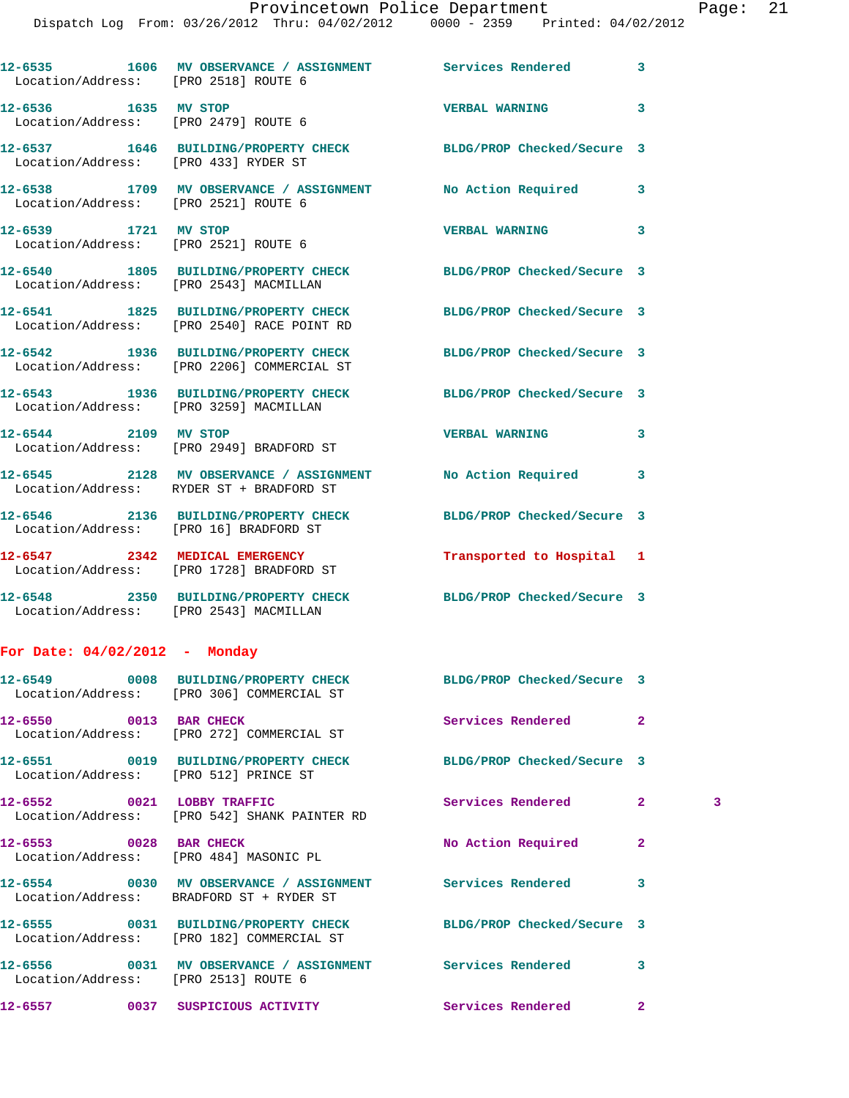| Location/Address: [PRO 2518] ROUTE 6                         | 12-6535 1606 MV OBSERVANCE / ASSIGNMENT Services Rendered                                                     |                            | 3              |   |
|--------------------------------------------------------------|---------------------------------------------------------------------------------------------------------------|----------------------------|----------------|---|
| 12-6536 1635 MV STOP<br>Location/Address: [PRO 2479] ROUTE 6 |                                                                                                               | <b>VERBAL WARNING</b>      | 3              |   |
| Location/Address: [PRO 433] RYDER ST                         | 12-6537 1646 BUILDING/PROPERTY CHECK BLDG/PROP Checked/Secure 3                                               |                            |                |   |
| Location/Address: [PRO 2521] ROUTE 6                         | 12-6538 1709 MV OBSERVANCE / ASSIGNMENT No Action Required                                                    |                            | 3              |   |
| 12-6539 1721 MV STOP                                         | Location/Address: [PRO 2521] ROUTE 6                                                                          | <b>VERBAL WARNING</b>      | 3              |   |
| Location/Address: [PRO 2543] MACMILLAN                       | 12-6540 1805 BUILDING/PROPERTY CHECK BLDG/PROP Checked/Secure 3                                               |                            |                |   |
|                                                              | 12-6541 1825 BUILDING/PROPERTY CHECK BLDG/PROP Checked/Secure 3<br>Location/Address: [PRO 2540] RACE POINT RD |                            |                |   |
|                                                              | 12-6542 1936 BUILDING/PROPERTY CHECK BLDG/PROP Checked/Secure 3<br>Location/Address: [PRO 2206] COMMERCIAL ST |                            |                |   |
|                                                              | 12-6543 1936 BUILDING/PROPERTY CHECK BLDG/PROP Checked/Secure 3<br>Location/Address: [PRO 3259] MACMILLAN     |                            |                |   |
|                                                              | 12-6544 2109 MV STOP<br>Location/Address: [PRO 2949] BRADFORD ST                                              | <b>VERBAL WARNING</b>      | 3              |   |
|                                                              | 12-6545 2128 MV OBSERVANCE / ASSIGNMENT No Action Required<br>Location/Address: RYDER ST + BRADFORD ST        |                            | 3              |   |
| Location/Address: [PRO 16] BRADFORD ST                       | 12-6546 2136 BUILDING/PROPERTY CHECK BLDG/PROP Checked/Secure 3                                               |                            |                |   |
|                                                              | 12-6547 2342 MEDICAL EMERGENCY<br>Location/Address: [PRO 1728] BRADFORD ST                                    | Transported to Hospital 1  |                |   |
| Location/Address: [PRO 2543] MACMILLAN                       | 12-6548 2350 BUILDING/PROPERTY CHECK BLDG/PROP Checked/Secure 3                                               |                            |                |   |
| For Date: $04/02/2012$ - Monday                              |                                                                                                               |                            |                |   |
|                                                              | 12-6549 0008 BUILDING/PROPERTY CHECK<br>Location/Address: [PRO 306] COMMERCIAL ST                             | BLDG/PROP Checked/Secure 3 |                |   |
| 12-6550 0013 BAR CHECK                                       | Location/Address: [PRO 272] COMMERCIAL ST                                                                     | Services Rendered          | $\mathbf{2}$   |   |
| Location/Address: [PRO 512] PRINCE ST                        | 12-6551 0019 BUILDING/PROPERTY CHECK BLDG/PROP Checked/Secure 3                                               |                            |                |   |
| 12-6552 0021 LOBBY TRAFFIC                                   | Location/Address: [PRO 542] SHANK PAINTER RD                                                                  | Services Rendered          | 2 <sup>1</sup> | 3 |
| 12-6553 0028 BAR CHECK                                       | Location/Address: [PRO 484] MASONIC PL                                                                        | No Action Required         | $\mathbf{2}$   |   |
|                                                              | 12-6554 0030 MV OBSERVANCE / ASSIGNMENT Services Rendered<br>Location/Address: BRADFORD ST + RYDER ST         |                            | 3              |   |
|                                                              | 12-6555 0031 BUILDING/PROPERTY CHECK<br>Location/Address: [PRO 182] COMMERCIAL ST                             | BLDG/PROP Checked/Secure 3 |                |   |
| Location/Address: [PRO 2513] ROUTE 6                         | 12-6556 0031 MV OBSERVANCE / ASSIGNMENT Services Rendered                                                     |                            | 3              |   |
|                                                              | 12-6557 		 0037 SUSPICIOUS ACTIVITY 		 Services Rendered                                                      |                            | $\mathbf{2}$   |   |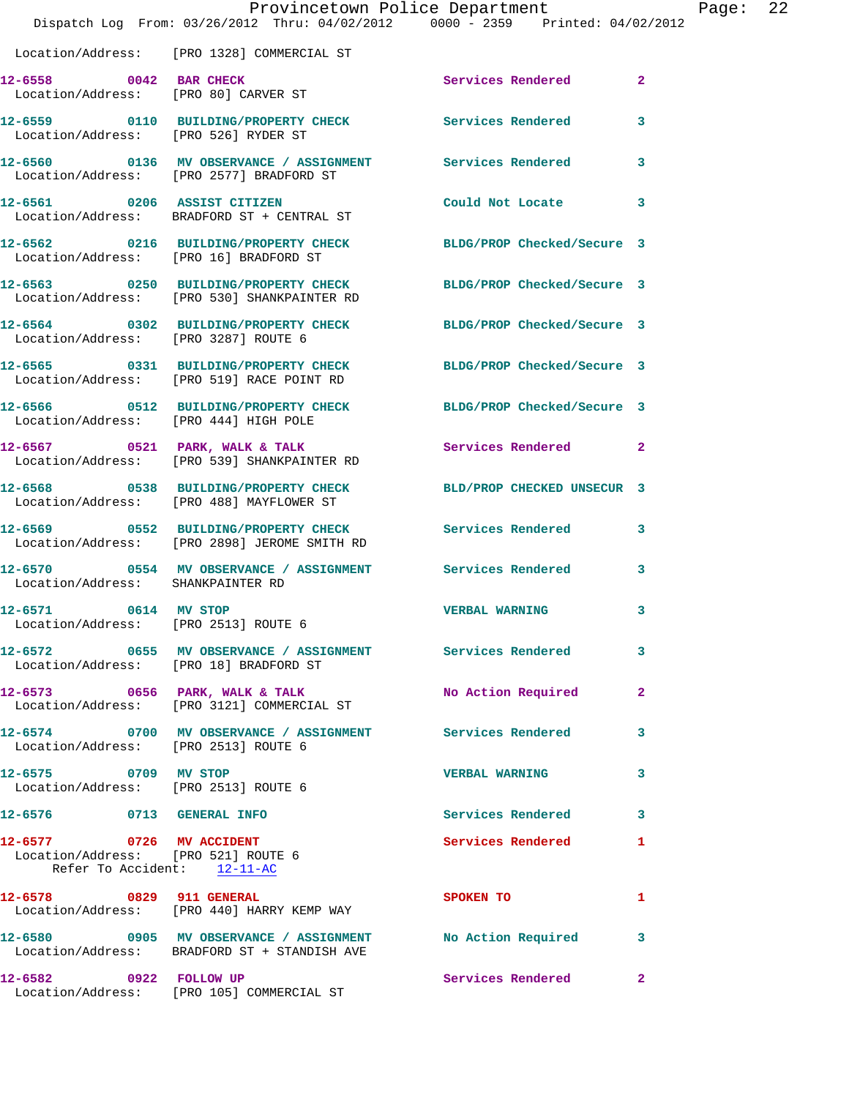|                                                                                                | Dispatch Log From: 03/26/2012 Thru: 04/02/2012 0000 - 2359 Printed: 04/02/2012                                 | Provincetown Police Department |              | Page: 22 |  |
|------------------------------------------------------------------------------------------------|----------------------------------------------------------------------------------------------------------------|--------------------------------|--------------|----------|--|
|                                                                                                | Location/Address: [PRO 1328] COMMERCIAL ST                                                                     |                                |              |          |  |
| 12-6558 0042 BAR CHECK                                                                         | Location/Address: [PRO 80] CARVER ST                                                                           | Services Rendered 2            |              |          |  |
| Location/Address: [PRO 526] RYDER ST                                                           | 12-6559 0110 BUILDING/PROPERTY CHECK Services Rendered 3                                                       |                                |              |          |  |
|                                                                                                | 12-6560 0136 MV OBSERVANCE / ASSIGNMENT Services Rendered 3<br>Location/Address: [PRO 2577] BRADFORD ST        |                                |              |          |  |
|                                                                                                | 12-6561 0206 ASSIST CITIZEN<br>Location/Address: BRADFORD ST + CENTRAL ST                                      | Could Not Locate 3             |              |          |  |
|                                                                                                | 12-6562 0216 BUILDING/PROPERTY CHECK BLDG/PROP Checked/Secure 3<br>Location/Address: [PRO 16] BRADFORD ST      |                                |              |          |  |
|                                                                                                | 12-6563 0250 BUILDING/PROPERTY CHECK BLDG/PROP Checked/Secure 3<br>Location/Address: [PRO 530] SHANKPAINTER RD |                                |              |          |  |
| Location/Address: [PRO 3287] ROUTE 6                                                           | 12-6564 0302 BUILDING/PROPERTY CHECK BLDG/PROP Checked/Secure 3                                                |                                |              |          |  |
|                                                                                                | 12-6565 0331 BUILDING/PROPERTY CHECK<br>Location/Address: [PRO 519] RACE POINT RD                              | BLDG/PROP Checked/Secure 3     |              |          |  |
|                                                                                                | 12-6566 0512 BUILDING/PROPERTY CHECK BLDG/PROP Checked/Secure 3<br>Location/Address: [PRO 444] HIGH POLE       |                                |              |          |  |
|                                                                                                | 12-6567 0521 PARK, WALK & TALK Services Rendered 2<br>Location/Address: [PRO 539] SHANKPAINTER RD              |                                |              |          |  |
|                                                                                                | 12-6568 0538 BUILDING/PROPERTY CHECK BLD/PROP CHECKED UNSECUR 3<br>Location/Address: [PRO 488] MAYFLOWER ST    |                                |              |          |  |
|                                                                                                | 12-6569 0552 BUILDING/PROPERTY CHECK Services Rendered 3<br>Location/Address: [PRO 2898] JEROME SMITH RD       |                                |              |          |  |
| Location/Address: SHANKPAINTER RD                                                              | 12-6570 0554 MV OBSERVANCE / ASSIGNMENT Services Rendered 3                                                    |                                |              |          |  |
| 12-6571<br>0614 MV STOP<br>Location/Address: [PRO 2513] ROUTE 6                                |                                                                                                                | <b>VERBAL WARNING</b>          | 3            |          |  |
|                                                                                                | 12-6572 0655 MV OBSERVANCE / ASSIGNMENT Services Rendered<br>Location/Address: [PRO 18] BRADFORD ST            |                                | 3            |          |  |
|                                                                                                | 12-6573 0656 PARK, WALK & TALK<br>Location/Address: [PRO 3121] COMMERCIAL ST                                   | No Action Required             | $\mathbf{2}$ |          |  |
| Location/Address: [PRO 2513] ROUTE 6                                                           | 12-6574 0700 MV OBSERVANCE / ASSIGNMENT Services Rendered                                                      |                                | 3            |          |  |
| 12-6575 0709 MV STOP<br>Location/Address: [PRO 2513] ROUTE 6                                   |                                                                                                                | <b>VERBAL WARNING</b>          | $\mathbf{3}$ |          |  |
| 12-6576 0713 GENERAL INFO                                                                      |                                                                                                                | Services Rendered 3            |              |          |  |
| 12-6577 0726 MV ACCIDENT<br>Location/Address: [PRO 521] ROUTE 6<br>Refer To Accident: 12-11-AC |                                                                                                                | Services Rendered              | 1            |          |  |
|                                                                                                | 12-6578 0829 911 GENERAL<br>Location/Address: [PRO 440] HARRY KEMP WAY                                         | SPOKEN TO                      | 1            |          |  |
|                                                                                                | 12-6580 0905 MV OBSERVANCE / ASSIGNMENT<br>Location/Address: BRADFORD ST + STANDISH AVE                        | No Action Required             | 3            |          |  |
| 12-6582 0922 FOLLOW UP                                                                         | Location/Address: [PRO 105] COMMERCIAL ST                                                                      | Services Rendered 2            |              |          |  |